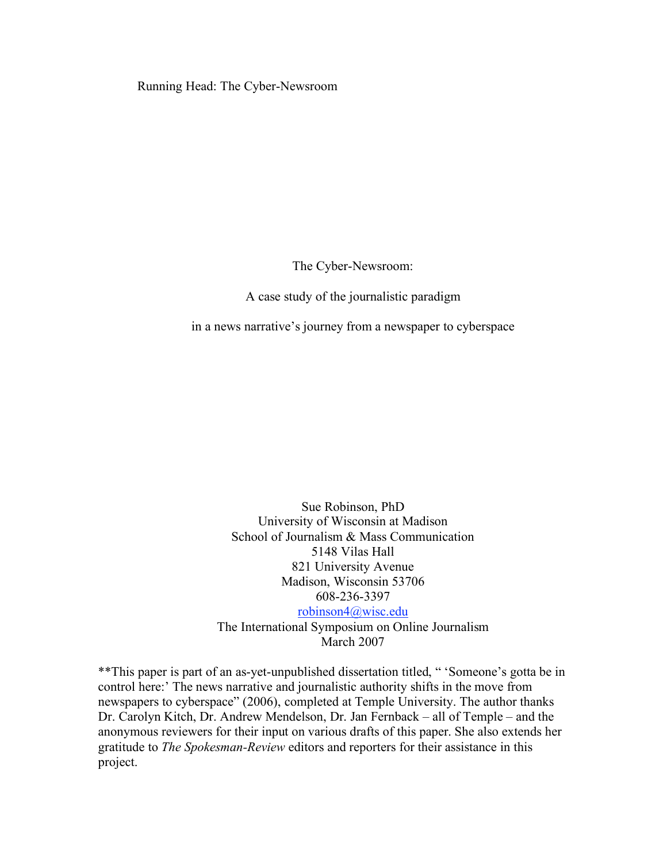Running Head: The Cyber-Newsroom

The Cyber-Newsroom:

A case study of the journalistic paradigm

in a news narrative's journey from a newspaper to cyberspace

Sue Robinson, PhD University of Wisconsin at Madison School of Journalism & Mass Communication 5148 Vilas Hall 821 University Avenue Madison, Wisconsin 53706 608-236-3397

robinson4@wisc.edu The International Symposium on Online Journalism March 2007

\*\*This paper is part of an as-yet-unpublished dissertation titled, " 'Someone's gotta be in control here:' The news narrative and journalistic authority shifts in the move from newspapers to cyberspace" (2006), completed at Temple University. The author thanks Dr. Carolyn Kitch, Dr. Andrew Mendelson, Dr. Jan Fernback – all of Temple – and the anonymous reviewers for their input on various drafts of this paper. She also extends her gratitude to *The Spokesman-Review* editors and reporters for their assistance in this project.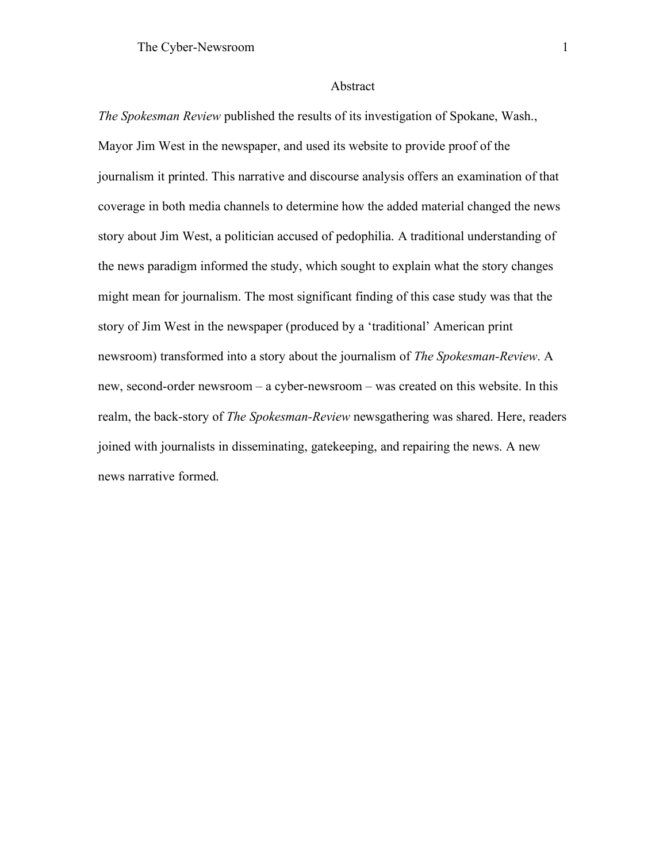#### Abstract

*The Spokesman Review* published the results of its investigation of Spokane, Wash., Mayor Jim West in the newspaper, and used its website to provide proof of the journalism it printed. This narrative and discourse analysis offers an examination of that coverage in both media channels to determine how the added material changed the news story about Jim West, a politician accused of pedophilia. A traditional understanding of the news paradigm informed the study, which sought to explain what the story changes might mean for journalism. The most significant finding of this case study was that the story of Jim West in the newspaper (produced by a 'traditional' American print newsroom) transformed into a story about the journalism of *The Spokesman-Review*. A new, second-order newsroom – a cyber-newsroom – was created on this website. In this realm, the back-story of *The Spokesman-Review* newsgathering was shared. Here, readers joined with journalists in disseminating, gatekeeping, and repairing the news. A new news narrative formed.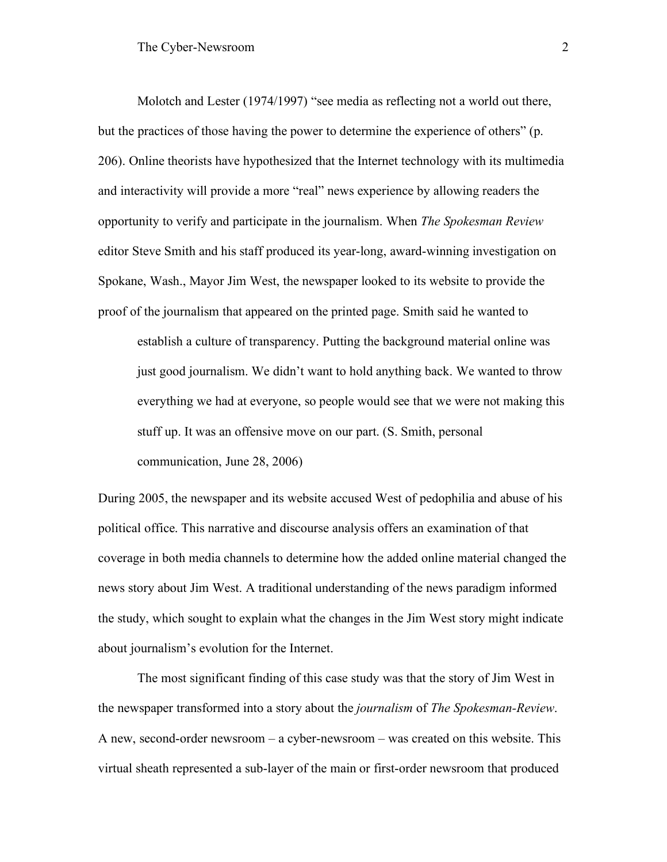Molotch and Lester (1974/1997) "see media as reflecting not a world out there, but the practices of those having the power to determine the experience of others" (p. 206). Online theorists have hypothesized that the Internet technology with its multimedia and interactivity will provide a more "real" news experience by allowing readers the opportunity to verify and participate in the journalism. When *The Spokesman Review* editor Steve Smith and his staff produced its year-long, award-winning investigation on Spokane, Wash., Mayor Jim West, the newspaper looked to its website to provide the proof of the journalism that appeared on the printed page. Smith said he wanted to establish a culture of transparency. Putting the background material online was

just good journalism. We didn't want to hold anything back. We wanted to throw everything we had at everyone, so people would see that we were not making this stuff up. It was an offensive move on our part. (S. Smith, personal communication, June 28, 2006)

During 2005, the newspaper and its website accused West of pedophilia and abuse of his political office. This narrative and discourse analysis offers an examination of that coverage in both media channels to determine how the added online material changed the news story about Jim West. A traditional understanding of the news paradigm informed the study, which sought to explain what the changes in the Jim West story might indicate about journalism's evolution for the Internet.

The most significant finding of this case study was that the story of Jim West in the newspaper transformed into a story about the *journalism* of *The Spokesman-Review*. A new, second-order newsroom – a cyber-newsroom – was created on this website. This virtual sheath represented a sub-layer of the main or first-order newsroom that produced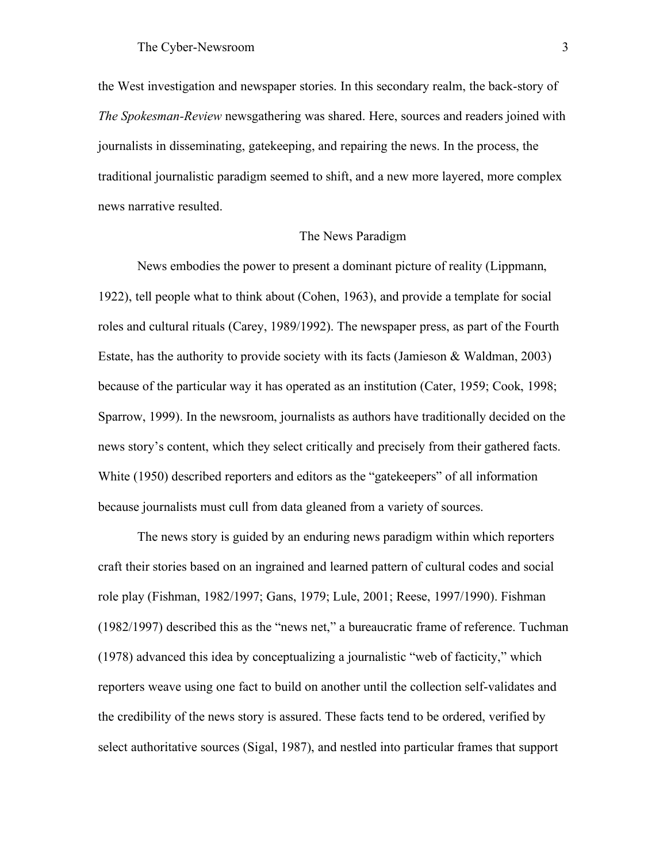the West investigation and newspaper stories. In this secondary realm, the back-story of *The Spokesman-Review* newsgathering was shared. Here, sources and readers joined with journalists in disseminating, gatekeeping, and repairing the news. In the process, the traditional journalistic paradigm seemed to shift, and a new more layered, more complex news narrative resulted.

## The News Paradigm

News embodies the power to present a dominant picture of reality (Lippmann, 1922), tell people what to think about (Cohen, 1963), and provide a template for social roles and cultural rituals (Carey, 1989/1992). The newspaper press, as part of the Fourth Estate, has the authority to provide society with its facts (Jamieson & Waldman, 2003) because of the particular way it has operated as an institution (Cater, 1959; Cook, 1998; Sparrow, 1999). In the newsroom, journalists as authors have traditionally decided on the news story's content, which they select critically and precisely from their gathered facts. White (1950) described reporters and editors as the "gatekeepers" of all information because journalists must cull from data gleaned from a variety of sources.

The news story is guided by an enduring news paradigm within which reporters craft their stories based on an ingrained and learned pattern of cultural codes and social role play (Fishman, 1982/1997; Gans, 1979; Lule, 2001; Reese, 1997/1990). Fishman (1982/1997) described this as the "news net," a bureaucratic frame of reference. Tuchman (1978) advanced this idea by conceptualizing a journalistic "web of facticity," which reporters weave using one fact to build on another until the collection self-validates and the credibility of the news story is assured. These facts tend to be ordered, verified by select authoritative sources (Sigal, 1987), and nestled into particular frames that support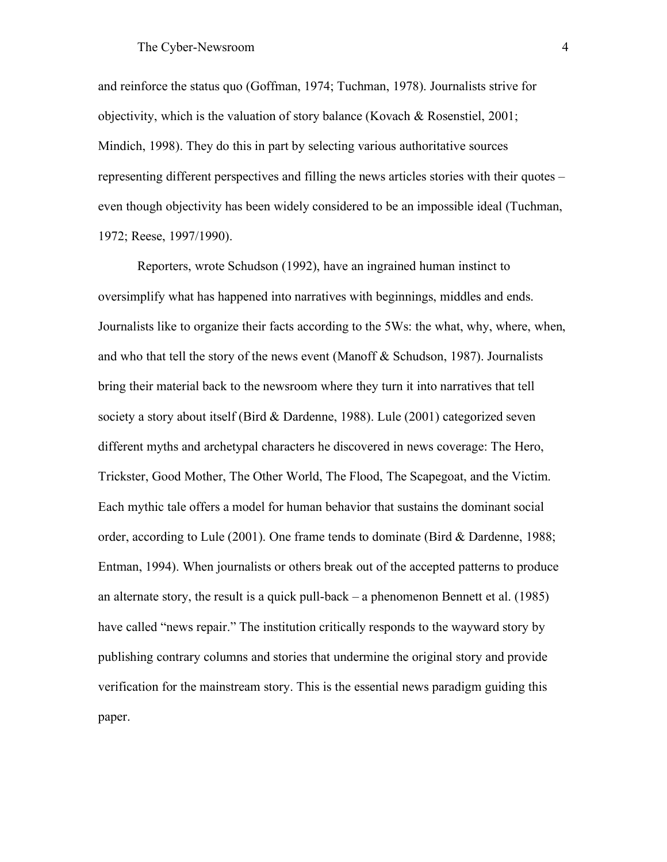and reinforce the status quo (Goffman, 1974; Tuchman, 1978). Journalists strive for objectivity, which is the valuation of story balance (Kovach & Rosenstiel, 2001; Mindich, 1998). They do this in part by selecting various authoritative sources representing different perspectives and filling the news articles stories with their quotes – even though objectivity has been widely considered to be an impossible ideal (Tuchman, 1972; Reese, 1997/1990).

Reporters, wrote Schudson (1992), have an ingrained human instinct to oversimplify what has happened into narratives with beginnings, middles and ends. Journalists like to organize their facts according to the 5Ws: the what, why, where, when, and who that tell the story of the news event (Manoff & Schudson, 1987). Journalists bring their material back to the newsroom where they turn it into narratives that tell society a story about itself (Bird & Dardenne, 1988). Lule (2001) categorized seven different myths and archetypal characters he discovered in news coverage: The Hero, Trickster, Good Mother, The Other World, The Flood, The Scapegoat, and the Victim. Each mythic tale offers a model for human behavior that sustains the dominant social order, according to Lule (2001). One frame tends to dominate (Bird & Dardenne, 1988; Entman, 1994). When journalists or others break out of the accepted patterns to produce an alternate story, the result is a quick pull-back – a phenomenon Bennett et al. (1985) have called "news repair." The institution critically responds to the wayward story by publishing contrary columns and stories that undermine the original story and provide verification for the mainstream story. This is the essential news paradigm guiding this paper.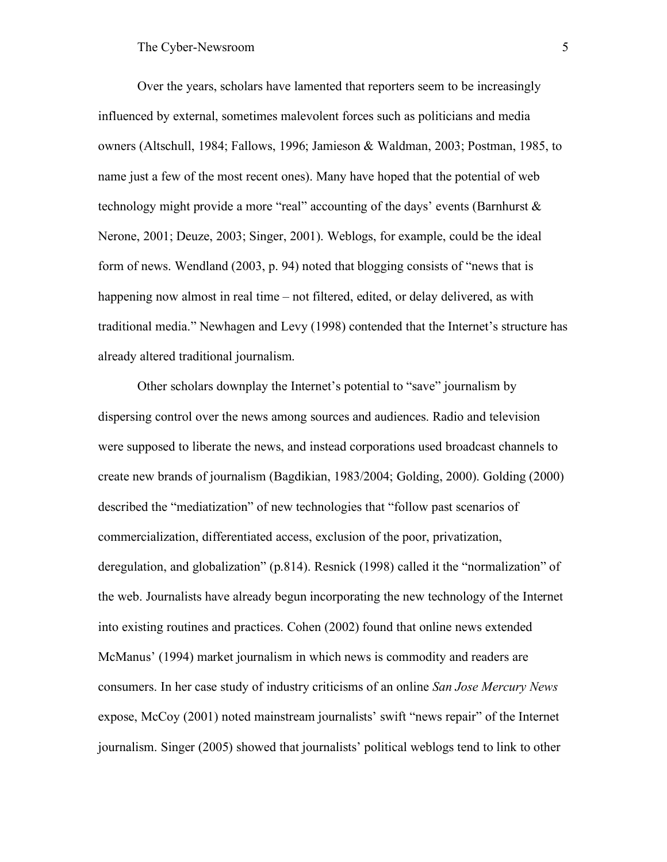Over the years, scholars have lamented that reporters seem to be increasingly influenced by external, sometimes malevolent forces such as politicians and media owners (Altschull, 1984; Fallows, 1996; Jamieson & Waldman, 2003; Postman, 1985, to name just a few of the most recent ones). Many have hoped that the potential of web technology might provide a more "real" accounting of the days' events (Barnhurst & Nerone, 2001; Deuze, 2003; Singer, 2001). Weblogs, for example, could be the ideal form of news. Wendland (2003, p. 94) noted that blogging consists of "news that is happening now almost in real time – not filtered, edited, or delay delivered, as with traditional media." Newhagen and Levy (1998) contended that the Internet's structure has already altered traditional journalism.

Other scholars downplay the Internet's potential to "save" journalism by dispersing control over the news among sources and audiences. Radio and television were supposed to liberate the news, and instead corporations used broadcast channels to create new brands of journalism (Bagdikian, 1983/2004; Golding, 2000). Golding (2000) described the "mediatization" of new technologies that "follow past scenarios of commercialization, differentiated access, exclusion of the poor, privatization, deregulation, and globalization" (p.814). Resnick (1998) called it the "normalization" of the web. Journalists have already begun incorporating the new technology of the Internet into existing routines and practices. Cohen (2002) found that online news extended McManus' (1994) market journalism in which news is commodity and readers are consumers. In her case study of industry criticisms of an online *San Jose Mercury News* expose, McCoy (2001) noted mainstream journalists' swift "news repair" of the Internet journalism. Singer (2005) showed that journalists' political weblogs tend to link to other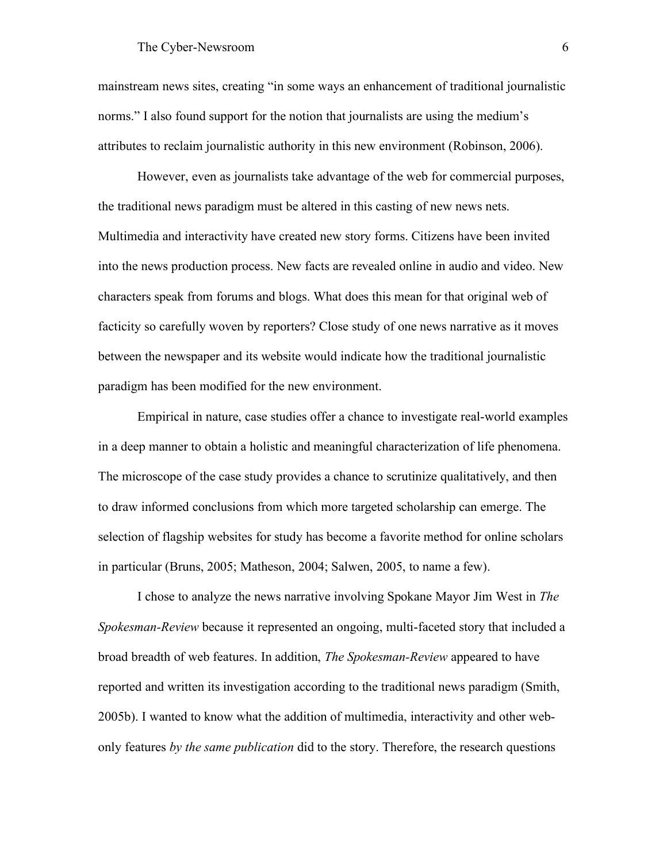mainstream news sites, creating "in some ways an enhancement of traditional journalistic norms." I also found support for the notion that journalists are using the medium's attributes to reclaim journalistic authority in this new environment (Robinson, 2006).

However, even as journalists take advantage of the web for commercial purposes, the traditional news paradigm must be altered in this casting of new news nets. Multimedia and interactivity have created new story forms. Citizens have been invited into the news production process. New facts are revealed online in audio and video. New characters speak from forums and blogs. What does this mean for that original web of facticity so carefully woven by reporters? Close study of one news narrative as it moves between the newspaper and its website would indicate how the traditional journalistic paradigm has been modified for the new environment.

Empirical in nature, case studies offer a chance to investigate real-world examples in a deep manner to obtain a holistic and meaningful characterization of life phenomena. The microscope of the case study provides a chance to scrutinize qualitatively, and then to draw informed conclusions from which more targeted scholarship can emerge. The selection of flagship websites for study has become a favorite method for online scholars in particular (Bruns, 2005; Matheson, 2004; Salwen, 2005, to name a few).

I chose to analyze the news narrative involving Spokane Mayor Jim West in *The Spokesman-Review* because it represented an ongoing, multi-faceted story that included a broad breadth of web features. In addition, *The Spokesman-Review* appeared to have reported and written its investigation according to the traditional news paradigm (Smith, 2005b). I wanted to know what the addition of multimedia, interactivity and other webonly features *by the same publication* did to the story. Therefore, the research questions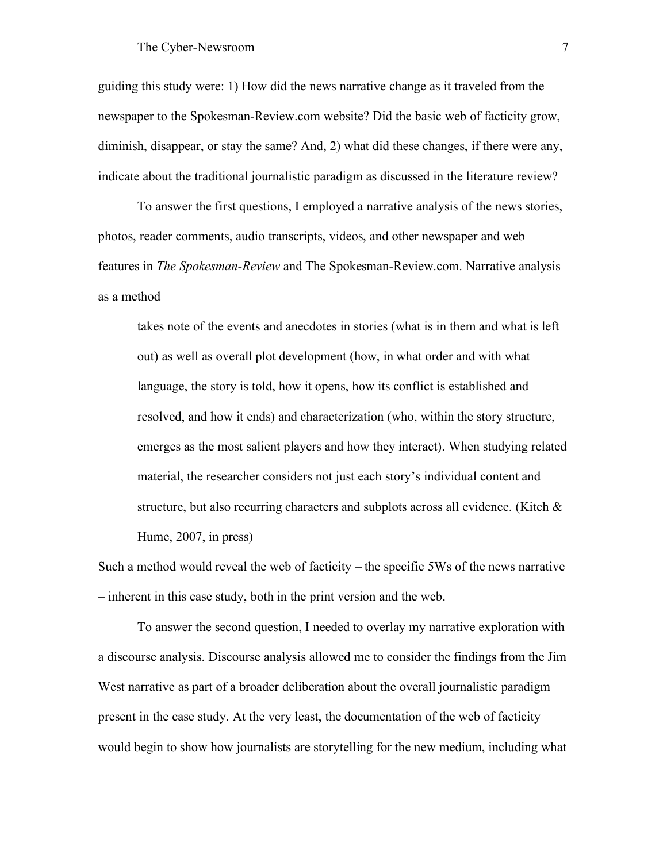guiding this study were: 1) How did the news narrative change as it traveled from the newspaper to the Spokesman-Review.com website? Did the basic web of facticity grow, diminish, disappear, or stay the same? And, 2) what did these changes, if there were any, indicate about the traditional journalistic paradigm as discussed in the literature review?

To answer the first questions, I employed a narrative analysis of the news stories, photos, reader comments, audio transcripts, videos, and other newspaper and web features in *The Spokesman-Review* and The Spokesman-Review.com. Narrative analysis as a method

takes note of the events and anecdotes in stories (what is in them and what is left out) as well as overall plot development (how, in what order and with what language, the story is told, how it opens, how its conflict is established and resolved, and how it ends) and characterization (who, within the story structure, emerges as the most salient players and how they interact). When studying related material, the researcher considers not just each story's individual content and structure, but also recurring characters and subplots across all evidence. (Kitch  $\&$ Hume, 2007, in press)

Such a method would reveal the web of facticity – the specific 5Ws of the news narrative – inherent in this case study, both in the print version and the web.

To answer the second question, I needed to overlay my narrative exploration with a discourse analysis. Discourse analysis allowed me to consider the findings from the Jim West narrative as part of a broader deliberation about the overall journalistic paradigm present in the case study. At the very least, the documentation of the web of facticity would begin to show how journalists are storytelling for the new medium, including what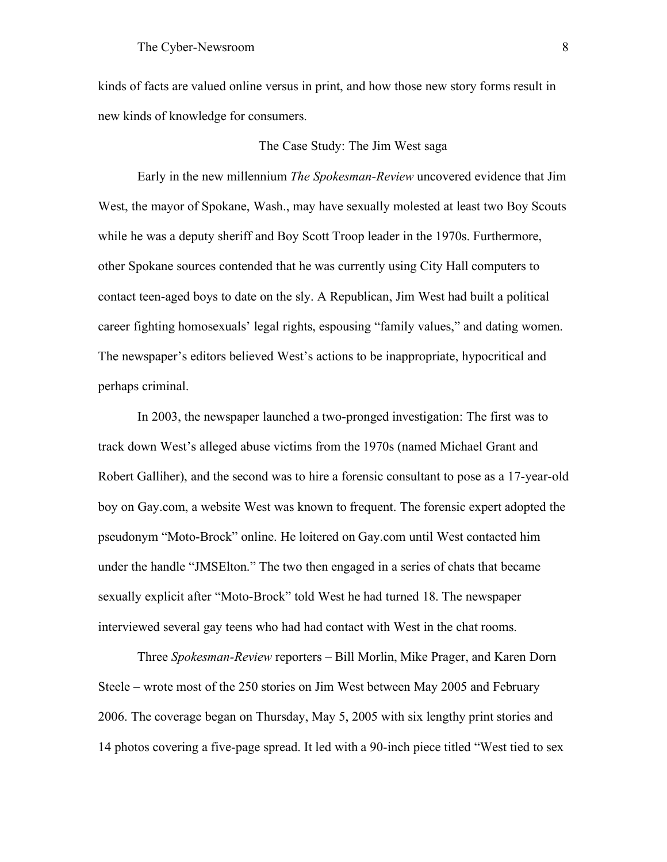kinds of facts are valued online versus in print, and how those new story forms result in new kinds of knowledge for consumers.

## The Case Study: The Jim West saga

Early in the new millennium *The Spokesman-Review* uncovered evidence that Jim West, the mayor of Spokane, Wash., may have sexually molested at least two Boy Scouts while he was a deputy sheriff and Boy Scott Troop leader in the 1970s. Furthermore, other Spokane sources contended that he was currently using City Hall computers to contact teen-aged boys to date on the sly. A Republican, Jim West had built a political career fighting homosexuals' legal rights, espousing "family values," and dating women. The newspaper's editors believed West's actions to be inappropriate, hypocritical and perhaps criminal.

In 2003, the newspaper launched a two-pronged investigation: The first was to track down West's alleged abuse victims from the 1970s (named Michael Grant and Robert Galliher), and the second was to hire a forensic consultant to pose as a 17-year-old boy on Gay.com, a website West was known to frequent. The forensic expert adopted the pseudonym "Moto-Brock" online. He loitered on Gay.com until West contacted him under the handle "JMSElton." The two then engaged in a series of chats that became sexually explicit after "Moto-Brock" told West he had turned 18. The newspaper interviewed several gay teens who had had contact with West in the chat rooms.

Three *Spokesman-Review* reporters – Bill Morlin, Mike Prager, and Karen Dorn Steele – wrote most of the 250 stories on Jim West between May 2005 and February 2006. The coverage began on Thursday, May 5, 2005 with six lengthy print stories and 14 photos covering a five-page spread. It led with a 90-inch piece titled "West tied to sex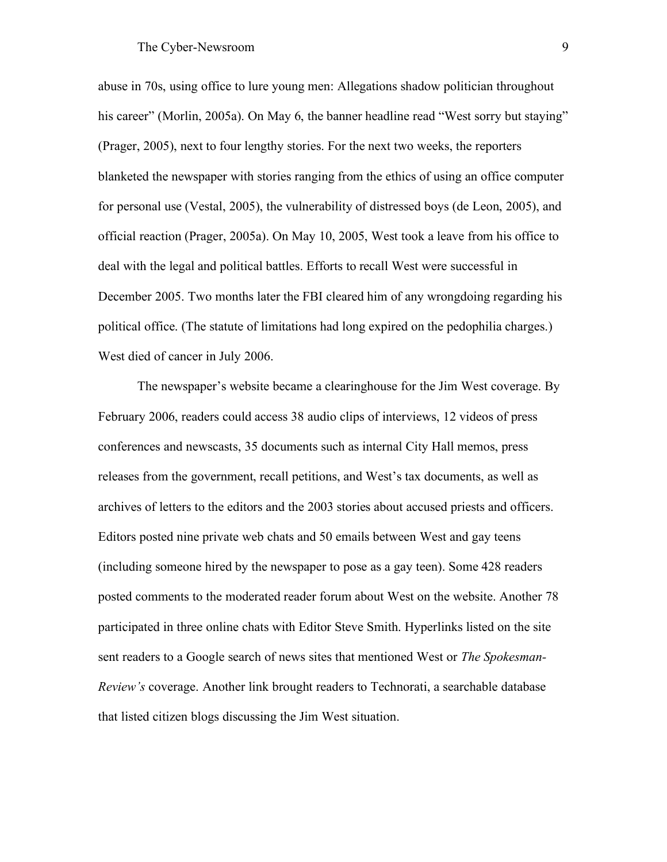abuse in 70s, using office to lure young men: Allegations shadow politician throughout his career" (Morlin, 2005a). On May 6, the banner headline read "West sorry but staying" (Prager, 2005), next to four lengthy stories. For the next two weeks, the reporters blanketed the newspaper with stories ranging from the ethics of using an office computer for personal use (Vestal, 2005), the vulnerability of distressed boys (de Leon, 2005), and official reaction (Prager, 2005a). On May 10, 2005, West took a leave from his office to deal with the legal and political battles. Efforts to recall West were successful in December 2005. Two months later the FBI cleared him of any wrongdoing regarding his political office. (The statute of limitations had long expired on the pedophilia charges.) West died of cancer in July 2006.

The newspaper's website became a clearinghouse for the Jim West coverage. By February 2006, readers could access 38 audio clips of interviews, 12 videos of press conferences and newscasts, 35 documents such as internal City Hall memos, press releases from the government, recall petitions, and West's tax documents, as well as archives of letters to the editors and the 2003 stories about accused priests and officers. Editors posted nine private web chats and 50 emails between West and gay teens (including someone hired by the newspaper to pose as a gay teen). Some 428 readers posted comments to the moderated reader forum about West on the website. Another 78 participated in three online chats with Editor Steve Smith. Hyperlinks listed on the site sent readers to a Google search of news sites that mentioned West or *The Spokesman-Review's* coverage. Another link brought readers to Technorati, a searchable database that listed citizen blogs discussing the Jim West situation.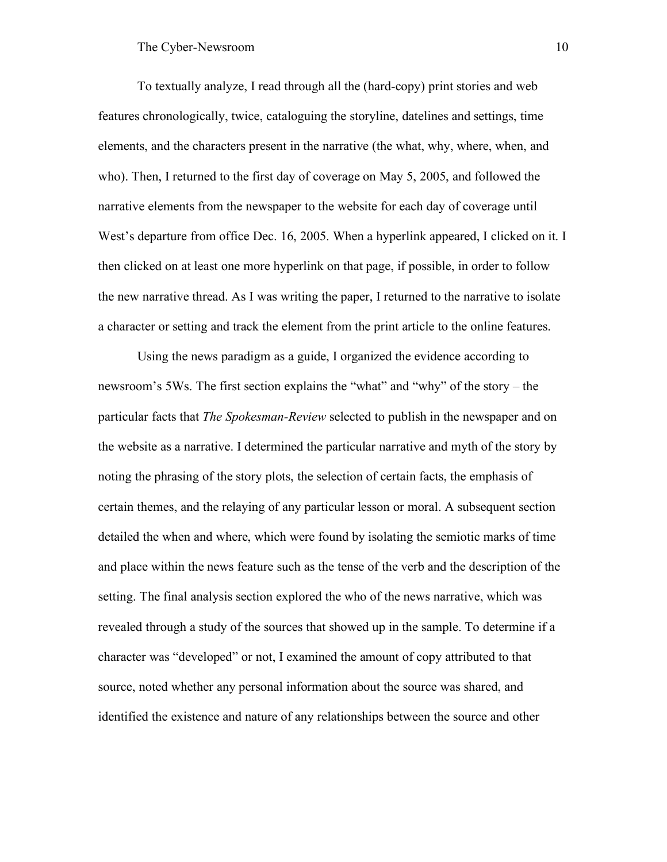To textually analyze, I read through all the (hard-copy) print stories and web features chronologically, twice, cataloguing the storyline, datelines and settings, time elements, and the characters present in the narrative (the what, why, where, when, and who). Then, I returned to the first day of coverage on May 5, 2005, and followed the narrative elements from the newspaper to the website for each day of coverage until West's departure from office Dec. 16, 2005. When a hyperlink appeared, I clicked on it. I then clicked on at least one more hyperlink on that page, if possible, in order to follow the new narrative thread. As I was writing the paper, I returned to the narrative to isolate a character or setting and track the element from the print article to the online features.

Using the news paradigm as a guide, I organized the evidence according to newsroom's 5Ws. The first section explains the "what" and "why" of the story – the particular facts that *The Spokesman-Review* selected to publish in the newspaper and on the website as a narrative. I determined the particular narrative and myth of the story by noting the phrasing of the story plots, the selection of certain facts, the emphasis of certain themes, and the relaying of any particular lesson or moral. A subsequent section detailed the when and where, which were found by isolating the semiotic marks of time and place within the news feature such as the tense of the verb and the description of the setting. The final analysis section explored the who of the news narrative, which was revealed through a study of the sources that showed up in the sample. To determine if a character was "developed" or not, I examined the amount of copy attributed to that source, noted whether any personal information about the source was shared, and identified the existence and nature of any relationships between the source and other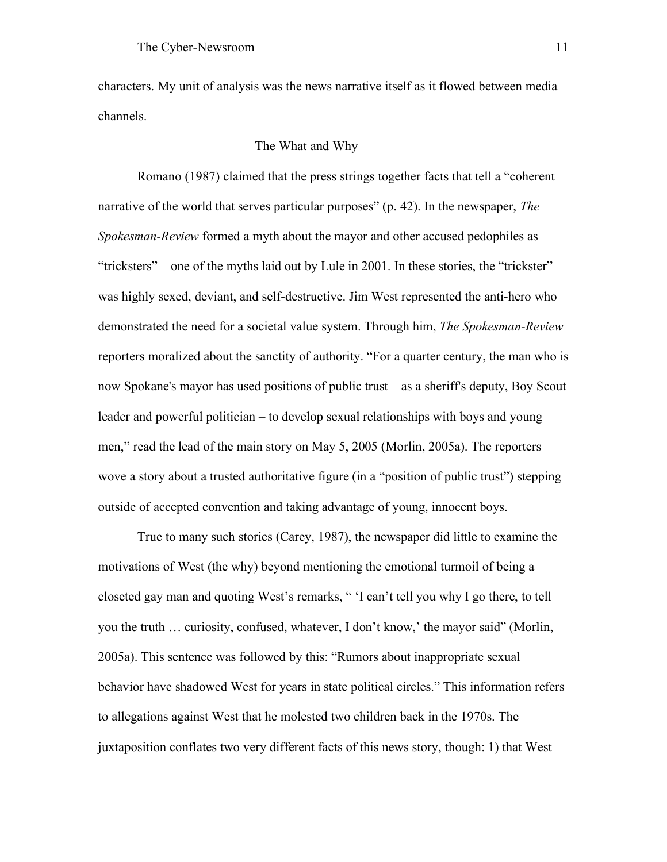characters. My unit of analysis was the news narrative itself as it flowed between media channels.

## The What and Why

Romano (1987) claimed that the press strings together facts that tell a "coherent narrative of the world that serves particular purposes" (p. 42). In the newspaper, *The Spokesman-Review* formed a myth about the mayor and other accused pedophiles as "tricksters" – one of the myths laid out by Lule in 2001. In these stories, the "trickster" was highly sexed, deviant, and self-destructive. Jim West represented the anti-hero who demonstrated the need for a societal value system. Through him, *The Spokesman-Review* reporters moralized about the sanctity of authority. "For a quarter century, the man who is now Spokane's mayor has used positions of public trust – as a sheriff's deputy, Boy Scout leader and powerful politician – to develop sexual relationships with boys and young men," read the lead of the main story on May 5, 2005 (Morlin, 2005a). The reporters wove a story about a trusted authoritative figure (in a "position of public trust") stepping outside of accepted convention and taking advantage of young, innocent boys.

True to many such stories (Carey, 1987), the newspaper did little to examine the motivations of West (the why) beyond mentioning the emotional turmoil of being a closeted gay man and quoting West's remarks, " 'I can't tell you why I go there, to tell you the truth … curiosity, confused, whatever, I don't know,' the mayor said" (Morlin, 2005a). This sentence was followed by this: "Rumors about inappropriate sexual behavior have shadowed West for years in state political circles." This information refers to allegations against West that he molested two children back in the 1970s. The juxtaposition conflates two very different facts of this news story, though: 1) that West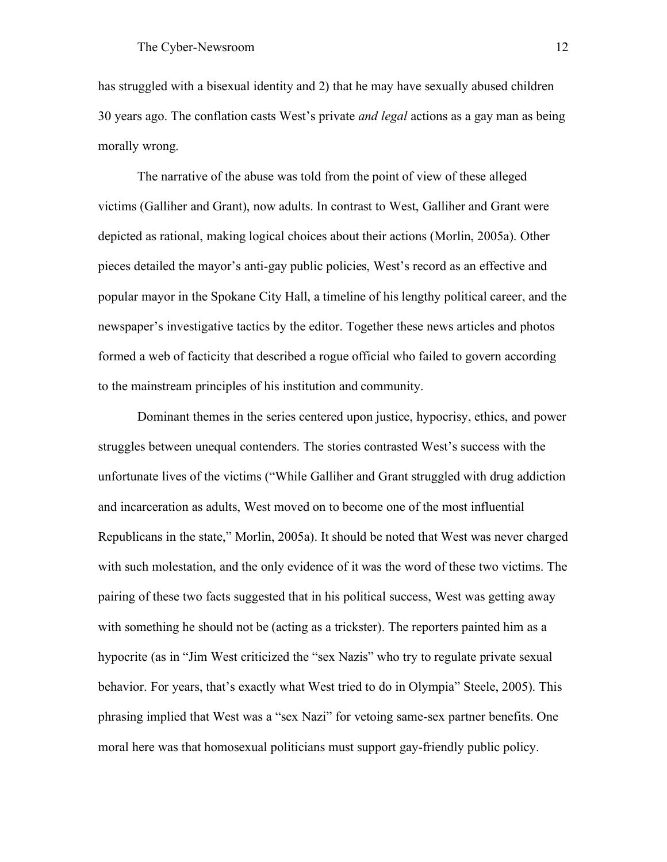has struggled with a bisexual identity and 2) that he may have sexually abused children 30 years ago. The conflation casts West's private *and legal* actions as a gay man as being morally wrong.

The narrative of the abuse was told from the point of view of these alleged victims (Galliher and Grant), now adults. In contrast to West, Galliher and Grant were depicted as rational, making logical choices about their actions (Morlin, 2005a). Other pieces detailed the mayor's anti-gay public policies, West's record as an effective and popular mayor in the Spokane City Hall, a timeline of his lengthy political career, and the newspaper's investigative tactics by the editor. Together these news articles and photos formed a web of facticity that described a rogue official who failed to govern according to the mainstream principles of his institution and community.

Dominant themes in the series centered upon justice, hypocrisy, ethics, and power struggles between unequal contenders. The stories contrasted West's success with the unfortunate lives of the victims ("While Galliher and Grant struggled with drug addiction and incarceration as adults, West moved on to become one of the most influential Republicans in the state," Morlin, 2005a). It should be noted that West was never charged with such molestation, and the only evidence of it was the word of these two victims. The pairing of these two facts suggested that in his political success, West was getting away with something he should not be (acting as a trickster). The reporters painted him as a hypocrite (as in "Jim West criticized the "sex Nazis" who try to regulate private sexual behavior. For years, that's exactly what West tried to do in Olympia" Steele, 2005). This phrasing implied that West was a "sex Nazi" for vetoing same-sex partner benefits. One moral here was that homosexual politicians must support gay-friendly public policy.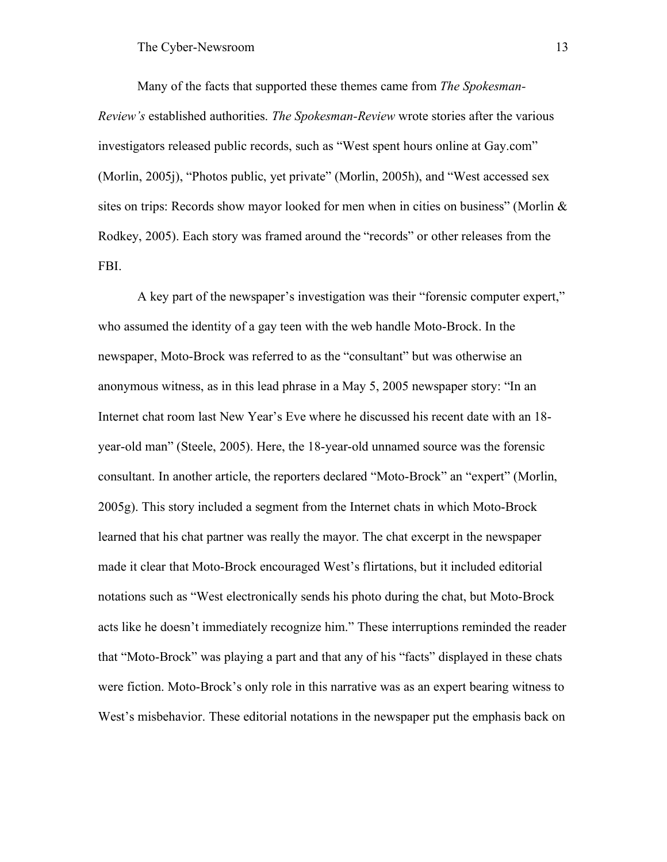Many of the facts that supported these themes came from *The Spokesman-Review's* established authorities. *The Spokesman-Review* wrote stories after the various investigators released public records, such as "West spent hours online at Gay.com" (Morlin, 2005j), "Photos public, yet private" (Morlin, 2005h), and "West accessed sex sites on trips: Records show mayor looked for men when in cities on business" (Morlin  $\&$ Rodkey, 2005). Each story was framed around the "records" or other releases from the FBI.

A key part of the newspaper's investigation was their "forensic computer expert," who assumed the identity of a gay teen with the web handle Moto-Brock. In the newspaper, Moto-Brock was referred to as the "consultant" but was otherwise an anonymous witness, as in this lead phrase in a May 5, 2005 newspaper story: "In an Internet chat room last New Year's Eve where he discussed his recent date with an 18 year-old man" (Steele, 2005). Here, the 18-year-old unnamed source was the forensic consultant. In another article, the reporters declared "Moto-Brock" an "expert" (Morlin, 2005g). This story included a segment from the Internet chats in which Moto-Brock learned that his chat partner was really the mayor. The chat excerpt in the newspaper made it clear that Moto-Brock encouraged West's flirtations, but it included editorial notations such as "West electronically sends his photo during the chat, but Moto-Brock acts like he doesn't immediately recognize him." These interruptions reminded the reader that "Moto-Brock" was playing a part and that any of his "facts" displayed in these chats were fiction. Moto-Brock's only role in this narrative was as an expert bearing witness to West's misbehavior. These editorial notations in the newspaper put the emphasis back on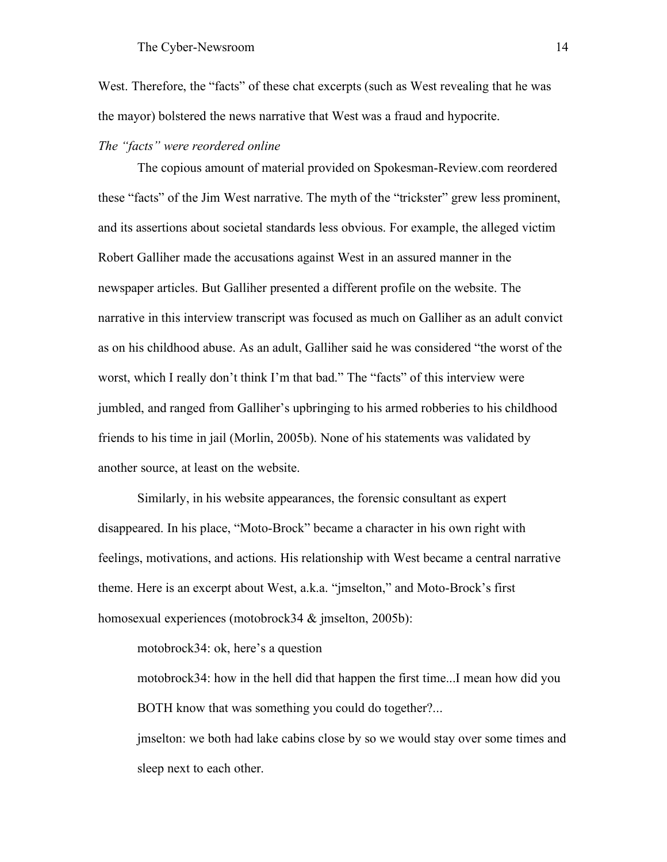West. Therefore, the "facts" of these chat excerpts (such as West revealing that he was the mayor) bolstered the news narrative that West was a fraud and hypocrite.

## *The "facts" were reordered online*

The copious amount of material provided on Spokesman-Review.com reordered these "facts" of the Jim West narrative. The myth of the "trickster" grew less prominent, and its assertions about societal standards less obvious. For example, the alleged victim Robert Galliher made the accusations against West in an assured manner in the newspaper articles. But Galliher presented a different profile on the website. The narrative in this interview transcript was focused as much on Galliher as an adult convict as on his childhood abuse. As an adult, Galliher said he was considered "the worst of the worst, which I really don't think I'm that bad." The "facts" of this interview were jumbled, and ranged from Galliher's upbringing to his armed robberies to his childhood friends to his time in jail (Morlin, 2005b). None of his statements was validated by another source, at least on the website.

Similarly, in his website appearances, the forensic consultant as expert disappeared. In his place, "Moto-Brock" became a character in his own right with feelings, motivations, and actions. His relationship with West became a central narrative theme. Here is an excerpt about West, a.k.a. "jmselton," and Moto-Brock's first homosexual experiences (motobrock34 & imselton, 2005b):

motobrock34: ok, here's a question

motobrock34: how in the hell did that happen the first time...I mean how did you BOTH know that was something you could do together?...

jmselton: we both had lake cabins close by so we would stay over some times and sleep next to each other.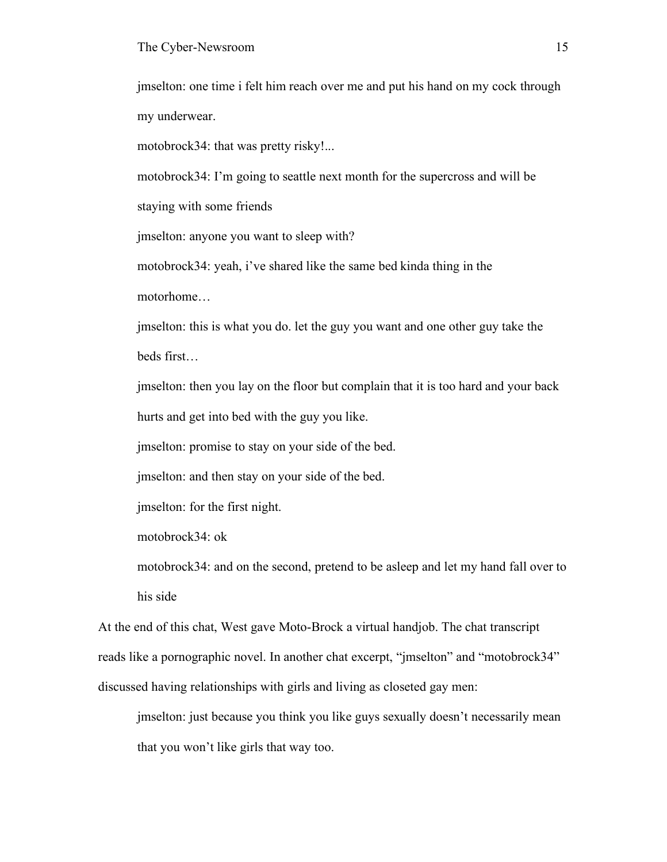jmselton: one time i felt him reach over me and put his hand on my cock through my underwear.

motobrock34: that was pretty risky!...

motobrock34: I'm going to seattle next month for the supercross and will be

staying with some friends

jmselton: anyone you want to sleep with?

motobrock34: yeah, i've shared like the same bed kinda thing in the motorhome…

jmselton: this is what you do. let the guy you want and one other guy take the beds first…

jmselton: then you lay on the floor but complain that it is too hard and your back hurts and get into bed with the guy you like.

jmselton: promise to stay on your side of the bed.

jmselton: and then stay on your side of the bed.

jmselton: for the first night.

motobrock34: ok

motobrock34: and on the second, pretend to be asleep and let my hand fall over to his side

At the end of this chat, West gave Moto-Brock a virtual handjob. The chat transcript reads like a pornographic novel. In another chat excerpt, "jmselton" and "motobrock34" discussed having relationships with girls and living as closeted gay men:

jmselton: just because you think you like guys sexually doesn't necessarily mean that you won't like girls that way too.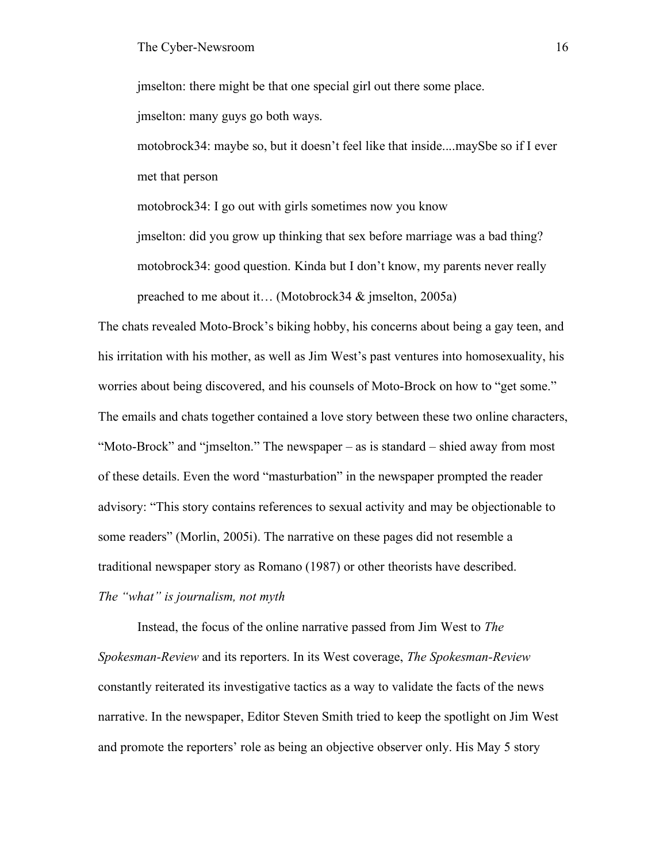jmselton: there might be that one special girl out there some place. jmselton: many guys go both ways.

motobrock34: maybe so, but it doesn't feel like that inside....maySbe so if I ever met that person

motobrock34: I go out with girls sometimes now you know jmselton: did you grow up thinking that sex before marriage was a bad thing? motobrock34: good question. Kinda but I don't know, my parents never really preached to me about it… (Motobrock34 & jmselton, 2005a)

The chats revealed Moto-Brock's biking hobby, his concerns about being a gay teen, and his irritation with his mother, as well as Jim West's past ventures into homosexuality, his worries about being discovered, and his counsels of Moto-Brock on how to "get some." The emails and chats together contained a love story between these two online characters, "Moto-Brock" and "jmselton." The newspaper – as is standard – shied away from most of these details. Even the word "masturbation" in the newspaper prompted the reader advisory: "This story contains references to sexual activity and may be objectionable to some readers" (Morlin, 2005i). The narrative on these pages did not resemble a traditional newspaper story as Romano (1987) or other theorists have described. *The "what" is journalism, not myth*

Instead, the focus of the online narrative passed from Jim West to *The Spokesman-Review* and its reporters. In its West coverage, *The Spokesman-Review* constantly reiterated its investigative tactics as a way to validate the facts of the news narrative. In the newspaper, Editor Steven Smith tried to keep the spotlight on Jim West and promote the reporters' role as being an objective observer only. His May 5 story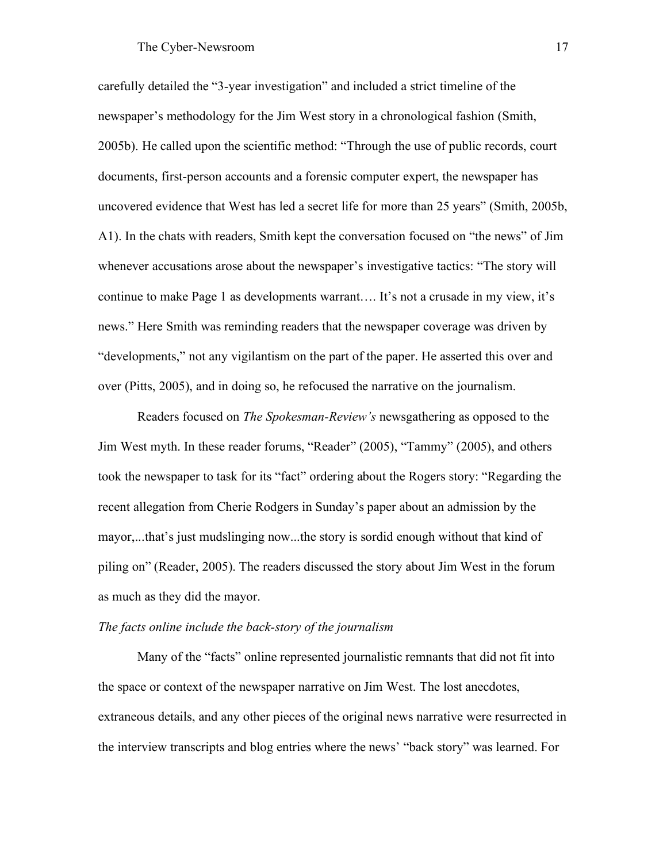carefully detailed the "3-year investigation" and included a strict timeline of the newspaper's methodology for the Jim West story in a chronological fashion (Smith, 2005b). He called upon the scientific method: "Through the use of public records, court documents, first-person accounts and a forensic computer expert, the newspaper has uncovered evidence that West has led a secret life for more than 25 years" (Smith, 2005b, A1). In the chats with readers, Smith kept the conversation focused on "the news" of Jim whenever accusations arose about the newspaper's investigative tactics: "The story will continue to make Page 1 as developments warrant…. It's not a crusade in my view, it's news." Here Smith was reminding readers that the newspaper coverage was driven by "developments," not any vigilantism on the part of the paper. He asserted this over and over (Pitts, 2005), and in doing so, he refocused the narrative on the journalism.

Readers focused on *The Spokesman-Review's* newsgathering as opposed to the Jim West myth. In these reader forums, "Reader" (2005), "Tammy" (2005), and others took the newspaper to task for its "fact" ordering about the Rogers story: "Regarding the recent allegation from Cherie Rodgers in Sunday's paper about an admission by the mayor,...that's just mudslinging now...the story is sordid enough without that kind of piling on" (Reader, 2005). The readers discussed the story about Jim West in the forum as much as they did the mayor.

#### *The facts online include the back-story of the journalism*

Many of the "facts" online represented journalistic remnants that did not fit into the space or context of the newspaper narrative on Jim West. The lost anecdotes, extraneous details, and any other pieces of the original news narrative were resurrected in the interview transcripts and blog entries where the news' "back story" was learned. For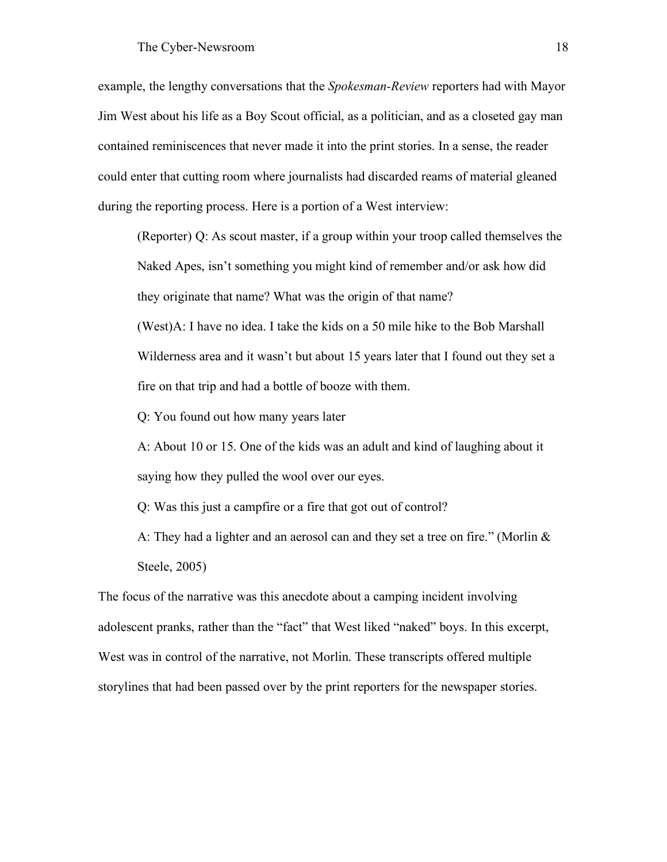example, the lengthy conversations that the *Spokesman-Review* reporters had with Mayor Jim West about his life as a Boy Scout official, as a politician, and as a closeted gay man contained reminiscences that never made it into the print stories. In a sense, the reader could enter that cutting room where journalists had discarded reams of material gleaned during the reporting process. Here is a portion of a West interview:

(Reporter) Q: As scout master, if a group within your troop called themselves the Naked Apes, isn't something you might kind of remember and/or ask how did they originate that name? What was the origin of that name?

(West)A: I have no idea. I take the kids on a 50 mile hike to the Bob Marshall Wilderness area and it wasn't but about 15 years later that I found out they set a fire on that trip and had a bottle of booze with them.

Q: You found out how many years later

A: About 10 or 15. One of the kids was an adult and kind of laughing about it saying how they pulled the wool over our eyes.

Q: Was this just a campfire or a fire that got out of control?

A: They had a lighter and an aerosol can and they set a tree on fire." (Morlin  $&$ Steele, 2005)

The focus of the narrative was this anecdote about a camping incident involving adolescent pranks, rather than the "fact" that West liked "naked" boys. In this excerpt, West was in control of the narrative, not Morlin. These transcripts offered multiple storylines that had been passed over by the print reporters for the newspaper stories.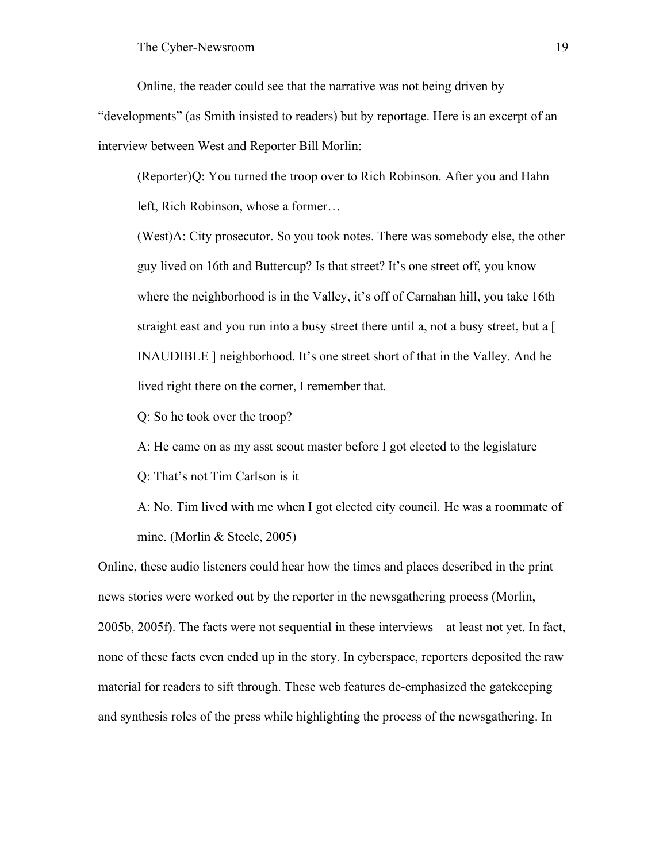Online, the reader could see that the narrative was not being driven by

"developments" (as Smith insisted to readers) but by reportage. Here is an excerpt of an interview between West and Reporter Bill Morlin:

(Reporter)Q: You turned the troop over to Rich Robinson. After you and Hahn left, Rich Robinson, whose a former…

(West)A: City prosecutor. So you took notes. There was somebody else, the other guy lived on 16th and Buttercup? Is that street? It's one street off, you know where the neighborhood is in the Valley, it's off of Carnahan hill, you take 16th straight east and you run into a busy street there until a, not a busy street, but a [ INAUDIBLE ] neighborhood. It's one street short of that in the Valley. And he lived right there on the corner, I remember that.

Q: So he took over the troop?

A: He came on as my asst scout master before I got elected to the legislature

Q: That's not Tim Carlson is it

A: No. Tim lived with me when I got elected city council. He was a roommate of mine. (Morlin & Steele, 2005)

Online, these audio listeners could hear how the times and places described in the print news stories were worked out by the reporter in the newsgathering process (Morlin, 2005b, 2005f). The facts were not sequential in these interviews – at least not yet. In fact, none of these facts even ended up in the story. In cyberspace, reporters deposited the raw material for readers to sift through. These web features de-emphasized the gatekeeping and synthesis roles of the press while highlighting the process of the newsgathering. In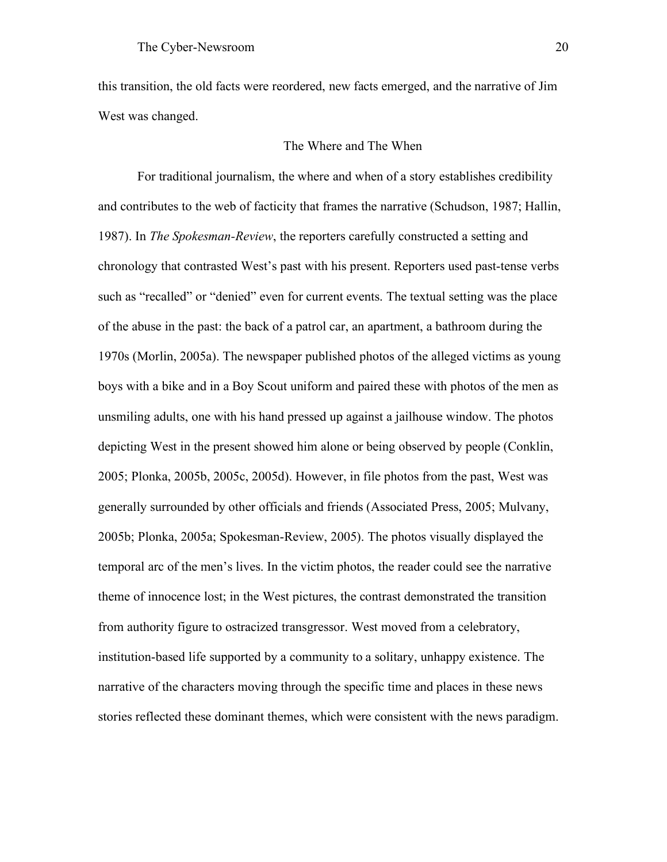this transition, the old facts were reordered, new facts emerged, and the narrative of Jim West was changed.

## The Where and The When

For traditional journalism, the where and when of a story establishes credibility and contributes to the web of facticity that frames the narrative (Schudson, 1987; Hallin, 1987). In *The Spokesman-Review*, the reporters carefully constructed a setting and chronology that contrasted West's past with his present. Reporters used past-tense verbs such as "recalled" or "denied" even for current events. The textual setting was the place of the abuse in the past: the back of a patrol car, an apartment, a bathroom during the 1970s (Morlin, 2005a). The newspaper published photos of the alleged victims as young boys with a bike and in a Boy Scout uniform and paired these with photos of the men as unsmiling adults, one with his hand pressed up against a jailhouse window. The photos depicting West in the present showed him alone or being observed by people (Conklin, 2005; Plonka, 2005b, 2005c, 2005d). However, in file photos from the past, West was generally surrounded by other officials and friends (Associated Press, 2005; Mulvany, 2005b; Plonka, 2005a; Spokesman-Review, 2005). The photos visually displayed the temporal arc of the men's lives. In the victim photos, the reader could see the narrative theme of innocence lost; in the West pictures, the contrast demonstrated the transition from authority figure to ostracized transgressor. West moved from a celebratory, institution-based life supported by a community to a solitary, unhappy existence. The narrative of the characters moving through the specific time and places in these news stories reflected these dominant themes, which were consistent with the news paradigm.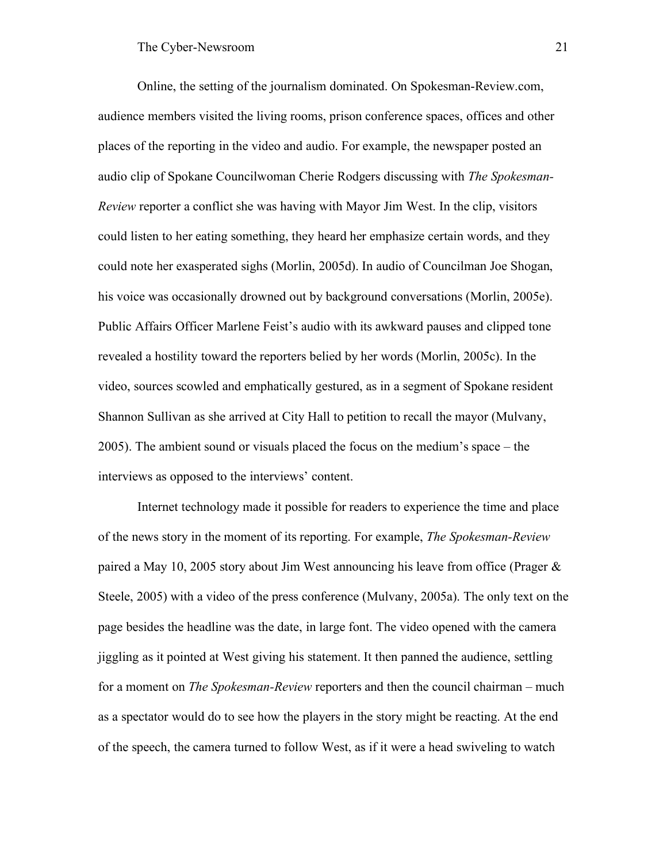Online, the setting of the journalism dominated. On Spokesman-Review.com, audience members visited the living rooms, prison conference spaces, offices and other places of the reporting in the video and audio. For example, the newspaper posted an audio clip of Spokane Councilwoman Cherie Rodgers discussing with *The Spokesman-Review* reporter a conflict she was having with Mayor Jim West. In the clip, visitors could listen to her eating something, they heard her emphasize certain words, and they could note her exasperated sighs (Morlin, 2005d). In audio of Councilman Joe Shogan, his voice was occasionally drowned out by background conversations (Morlin, 2005e). Public Affairs Officer Marlene Feist's audio with its awkward pauses and clipped tone revealed a hostility toward the reporters belied by her words (Morlin, 2005c). In the video, sources scowled and emphatically gestured, as in a segment of Spokane resident Shannon Sullivan as she arrived at City Hall to petition to recall the mayor (Mulvany, 2005). The ambient sound or visuals placed the focus on the medium's space – the interviews as opposed to the interviews' content.

Internet technology made it possible for readers to experience the time and place of the news story in the moment of its reporting. For example, *The Spokesman-Review* paired a May 10, 2005 story about Jim West announcing his leave from office (Prager & Steele, 2005) with a video of the press conference (Mulvany, 2005a). The only text on the page besides the headline was the date, in large font. The video opened with the camera jiggling as it pointed at West giving his statement. It then panned the audience, settling for a moment on *The Spokesman-Review* reporters and then the council chairman – much as a spectator would do to see how the players in the story might be reacting. At the end of the speech, the camera turned to follow West, as if it were a head swiveling to watch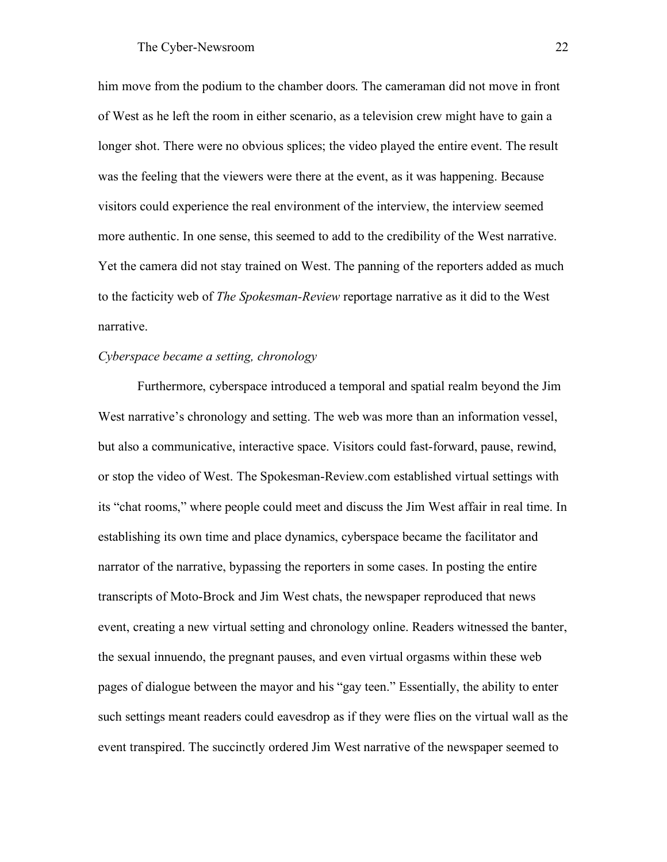him move from the podium to the chamber doors. The cameraman did not move in front of West as he left the room in either scenario, as a television crew might have to gain a longer shot. There were no obvious splices; the video played the entire event. The result was the feeling that the viewers were there at the event, as it was happening. Because visitors could experience the real environment of the interview, the interview seemed more authentic. In one sense, this seemed to add to the credibility of the West narrative. Yet the camera did not stay trained on West. The panning of the reporters added as much to the facticity web of *The Spokesman-Review* reportage narrative as it did to the West narrative.

# *Cyberspace became a setting, chronology*

Furthermore, cyberspace introduced a temporal and spatial realm beyond the Jim West narrative's chronology and setting. The web was more than an information vessel, but also a communicative, interactive space. Visitors could fast-forward, pause, rewind, or stop the video of West. The Spokesman-Review.com established virtual settings with its "chat rooms," where people could meet and discuss the Jim West affair in real time. In establishing its own time and place dynamics, cyberspace became the facilitator and narrator of the narrative, bypassing the reporters in some cases. In posting the entire transcripts of Moto-Brock and Jim West chats, the newspaper reproduced that news event, creating a new virtual setting and chronology online. Readers witnessed the banter, the sexual innuendo, the pregnant pauses, and even virtual orgasms within these web pages of dialogue between the mayor and his "gay teen." Essentially, the ability to enter such settings meant readers could eavesdrop as if they were flies on the virtual wall as the event transpired. The succinctly ordered Jim West narrative of the newspaper seemed to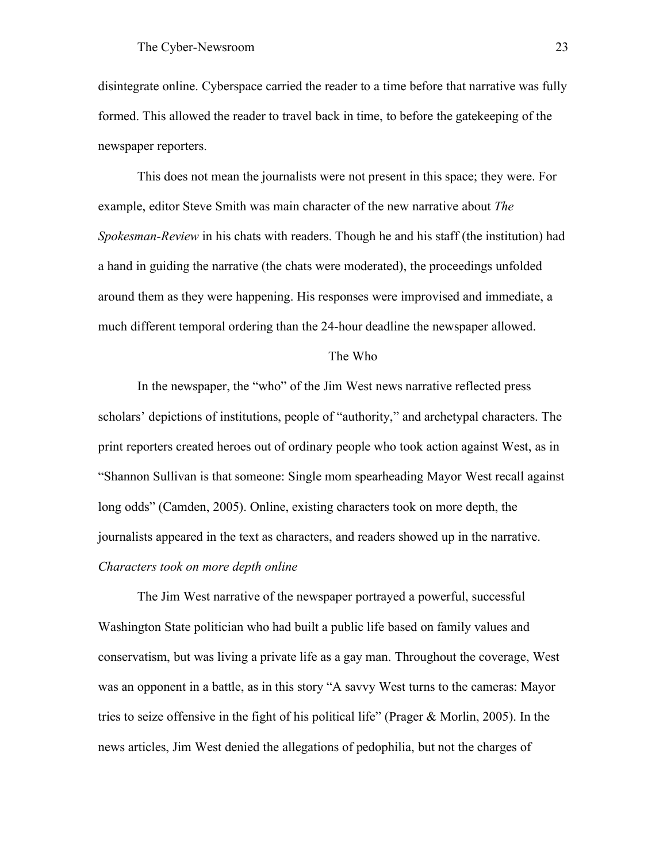disintegrate online. Cyberspace carried the reader to a time before that narrative was fully formed. This allowed the reader to travel back in time, to before the gatekeeping of the newspaper reporters.

This does not mean the journalists were not present in this space; they were. For example, editor Steve Smith was main character of the new narrative about *The Spokesman-Review* in his chats with readers. Though he and his staff (the institution) had a hand in guiding the narrative (the chats were moderated), the proceedings unfolded around them as they were happening. His responses were improvised and immediate, a much different temporal ordering than the 24-hour deadline the newspaper allowed.

#### The Who

In the newspaper, the "who" of the Jim West news narrative reflected press scholars' depictions of institutions, people of "authority," and archetypal characters. The print reporters created heroes out of ordinary people who took action against West, as in "Shannon Sullivan is that someone: Single mom spearheading Mayor West recall against long odds" (Camden, 2005). Online, existing characters took on more depth, the journalists appeared in the text as characters, and readers showed up in the narrative. *Characters took on more depth online*

The Jim West narrative of the newspaper portrayed a powerful, successful Washington State politician who had built a public life based on family values and conservatism, but was living a private life as a gay man. Throughout the coverage, West was an opponent in a battle, as in this story "A savvy West turns to the cameras: Mayor tries to seize offensive in the fight of his political life" (Prager & Morlin, 2005). In the news articles, Jim West denied the allegations of pedophilia, but not the charges of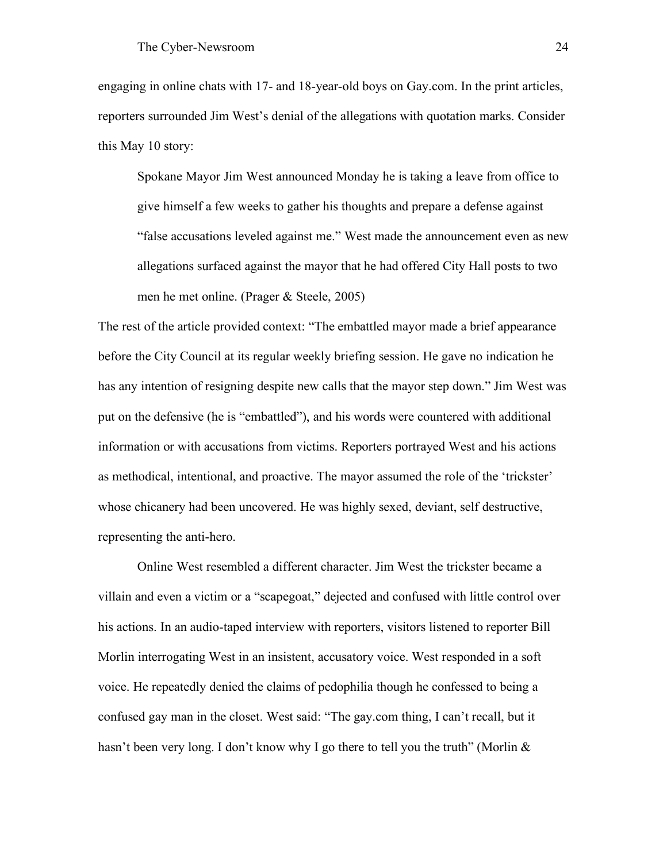engaging in online chats with 17- and 18-year-old boys on Gay.com. In the print articles, reporters surrounded Jim West's denial of the allegations with quotation marks. Consider this May 10 story:

Spokane Mayor Jim West announced Monday he is taking a leave from office to give himself a few weeks to gather his thoughts and prepare a defense against "false accusations leveled against me." West made the announcement even as new allegations surfaced against the mayor that he had offered City Hall posts to two men he met online. (Prager & Steele, 2005)

The rest of the article provided context: "The embattled mayor made a brief appearance before the City Council at its regular weekly briefing session. He gave no indication he has any intention of resigning despite new calls that the mayor step down." Jim West was put on the defensive (he is "embattled"), and his words were countered with additional information or with accusations from victims. Reporters portrayed West and his actions as methodical, intentional, and proactive. The mayor assumed the role of the 'trickster' whose chicanery had been uncovered. He was highly sexed, deviant, self destructive, representing the anti-hero.

Online West resembled a different character. Jim West the trickster became a villain and even a victim or a "scapegoat," dejected and confused with little control over his actions. In an audio-taped interview with reporters, visitors listened to reporter Bill Morlin interrogating West in an insistent, accusatory voice. West responded in a soft voice. He repeatedly denied the claims of pedophilia though he confessed to being a confused gay man in the closet. West said: "The gay.com thing, I can't recall, but it hasn't been very long. I don't know why I go there to tell you the truth" (Morlin &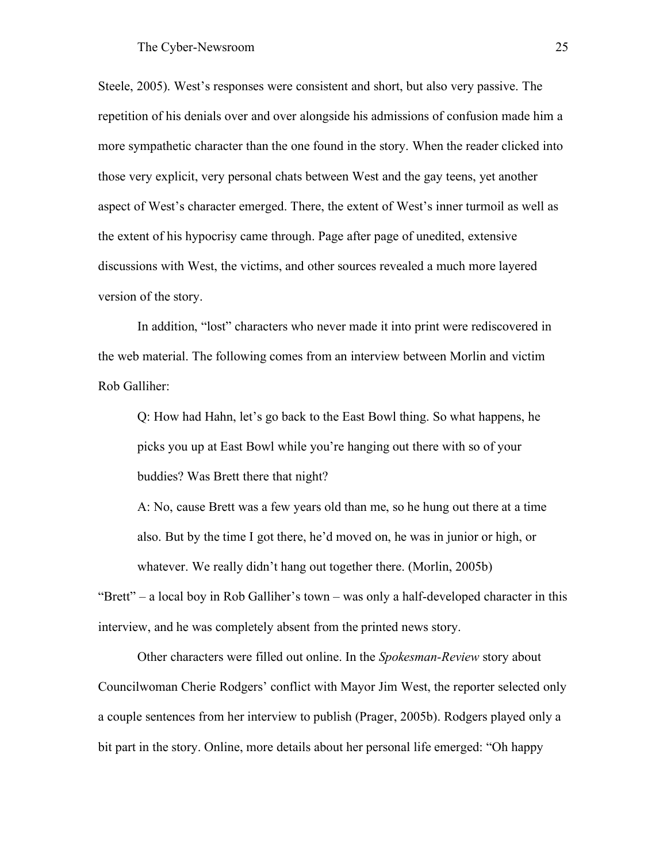Steele, 2005). West's responses were consistent and short, but also very passive. The repetition of his denials over and over alongside his admissions of confusion made him a more sympathetic character than the one found in the story. When the reader clicked into those very explicit, very personal chats between West and the gay teens, yet another aspect of West's character emerged. There, the extent of West's inner turmoil as well as the extent of his hypocrisy came through. Page after page of unedited, extensive discussions with West, the victims, and other sources revealed a much more layered version of the story.

In addition, "lost" characters who never made it into print were rediscovered in the web material. The following comes from an interview between Morlin and victim Rob Galliher:

Q: How had Hahn, let's go back to the East Bowl thing. So what happens, he picks you up at East Bowl while you're hanging out there with so of your buddies? Was Brett there that night?

A: No, cause Brett was a few years old than me, so he hung out there at a time also. But by the time I got there, he'd moved on, he was in junior or high, or whatever. We really didn't hang out together there. (Morlin, 2005b)

"Brett" – a local boy in Rob Galliher's town – was only a half-developed character in this interview, and he was completely absent from the printed news story.

Other characters were filled out online. In the *Spokesman-Review* story about Councilwoman Cherie Rodgers' conflict with Mayor Jim West, the reporter selected only a couple sentences from her interview to publish (Prager, 2005b). Rodgers played only a bit part in the story. Online, more details about her personal life emerged: "Oh happy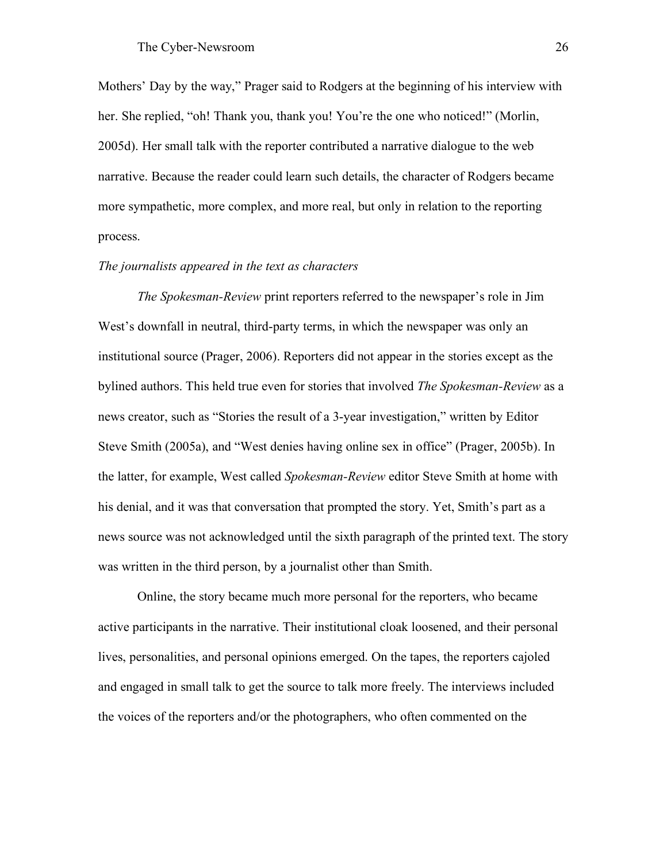Mothers' Day by the way," Prager said to Rodgers at the beginning of his interview with her. She replied, "oh! Thank you, thank you! You're the one who noticed!" (Morlin, 2005d). Her small talk with the reporter contributed a narrative dialogue to the web narrative. Because the reader could learn such details, the character of Rodgers became more sympathetic, more complex, and more real, but only in relation to the reporting process.

### *The journalists appeared in the text as characters*

*The Spokesman-Review* print reporters referred to the newspaper's role in Jim West's downfall in neutral, third-party terms, in which the newspaper was only an institutional source (Prager, 2006). Reporters did not appear in the stories except as the bylined authors. This held true even for stories that involved *The Spokesman-Review* as a news creator, such as "Stories the result of a 3-year investigation," written by Editor Steve Smith (2005a), and "West denies having online sex in office" (Prager, 2005b). In the latter, for example, West called *Spokesman-Review* editor Steve Smith at home with his denial, and it was that conversation that prompted the story. Yet, Smith's part as a news source was not acknowledged until the sixth paragraph of the printed text. The story was written in the third person, by a journalist other than Smith.

Online, the story became much more personal for the reporters, who became active participants in the narrative. Their institutional cloak loosened, and their personal lives, personalities, and personal opinions emerged. On the tapes, the reporters cajoled and engaged in small talk to get the source to talk more freely. The interviews included the voices of the reporters and/or the photographers, who often commented on the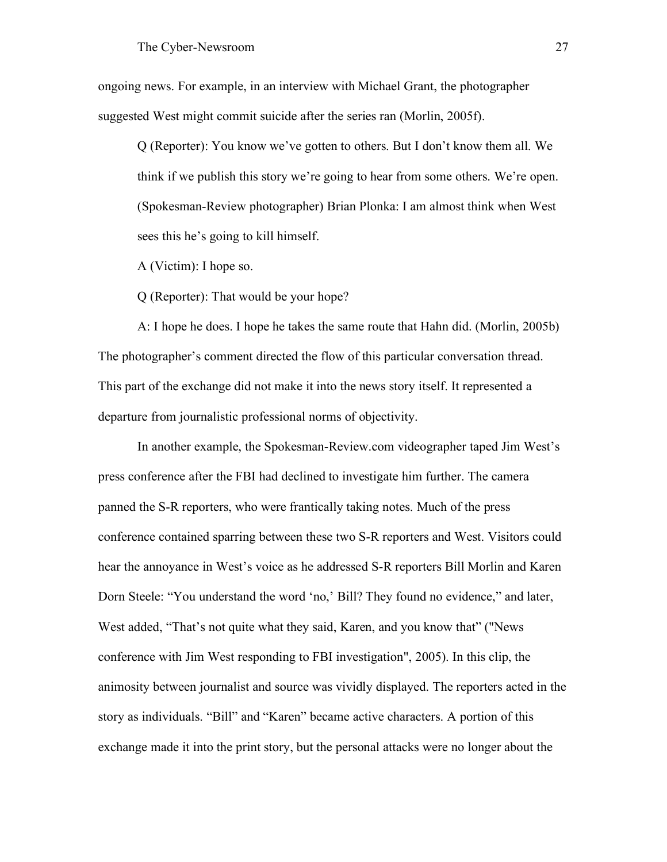ongoing news. For example, in an interview with Michael Grant, the photographer suggested West might commit suicide after the series ran (Morlin, 2005f).

Q (Reporter): You know we've gotten to others. But I don't know them all. We think if we publish this story we're going to hear from some others. We're open. (Spokesman-Review photographer) Brian Plonka: I am almost think when West sees this he's going to kill himself.

A (Victim): I hope so.

Q (Reporter): That would be your hope?

A: I hope he does. I hope he takes the same route that Hahn did. (Morlin, 2005b) The photographer's comment directed the flow of this particular conversation thread. This part of the exchange did not make it into the news story itself. It represented a departure from journalistic professional norms of objectivity.

In another example, the Spokesman-Review.com videographer taped Jim West's press conference after the FBI had declined to investigate him further. The camera panned the S-R reporters, who were frantically taking notes. Much of the press conference contained sparring between these two S-R reporters and West. Visitors could hear the annoyance in West's voice as he addressed S-R reporters Bill Morlin and Karen Dorn Steele: "You understand the word 'no,' Bill? They found no evidence," and later, West added, "That's not quite what they said, Karen, and you know that" ("News conference with Jim West responding to FBI investigation", 2005). In this clip, the animosity between journalist and source was vividly displayed. The reporters acted in the story as individuals. "Bill" and "Karen" became active characters. A portion of this exchange made it into the print story, but the personal attacks were no longer about the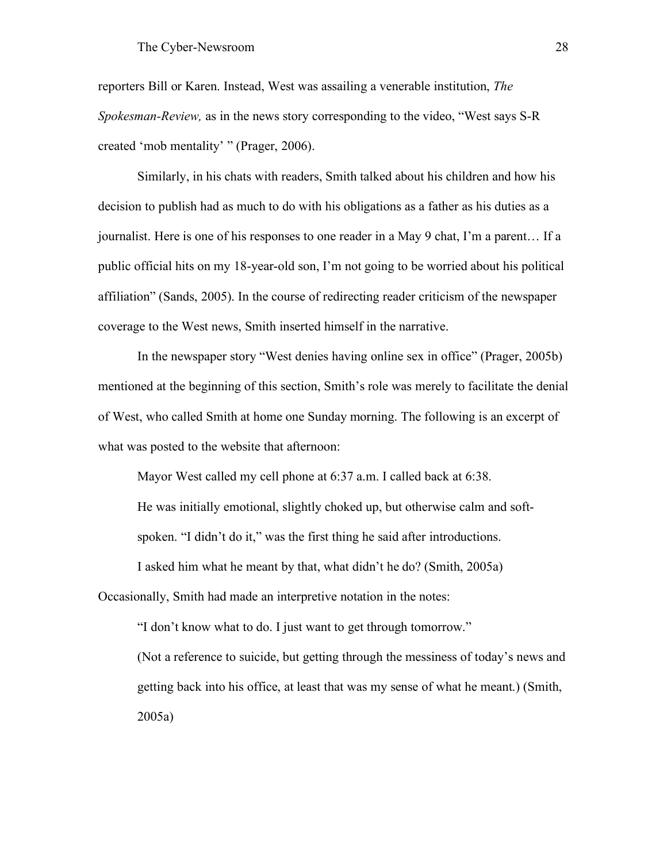reporters Bill or Karen. Instead, West was assailing a venerable institution, *The Spokesman-Review,* as in the news story corresponding to the video, "West says S-R created 'mob mentality' " (Prager, 2006).

Similarly, in his chats with readers, Smith talked about his children and how his decision to publish had as much to do with his obligations as a father as his duties as a journalist. Here is one of his responses to one reader in a May 9 chat, I'm a parent… If a public official hits on my 18-year-old son, I'm not going to be worried about his political affiliation" (Sands, 2005). In the course of redirecting reader criticism of the newspaper coverage to the West news, Smith inserted himself in the narrative.

In the newspaper story "West denies having online sex in office" (Prager, 2005b) mentioned at the beginning of this section, Smith's role was merely to facilitate the denial of West, who called Smith at home one Sunday morning. The following is an excerpt of what was posted to the website that afternoon:

Mayor West called my cell phone at 6:37 a.m. I called back at 6:38.

He was initially emotional, slightly choked up, but otherwise calm and soft-

spoken. "I didn't do it," was the first thing he said after introductions.

I asked him what he meant by that, what didn't he do? (Smith, 2005a)

Occasionally, Smith had made an interpretive notation in the notes:

"I don't know what to do. I just want to get through tomorrow." (Not a reference to suicide, but getting through the messiness of today's news and getting back into his office, at least that was my sense of what he meant.) (Smith, 2005a)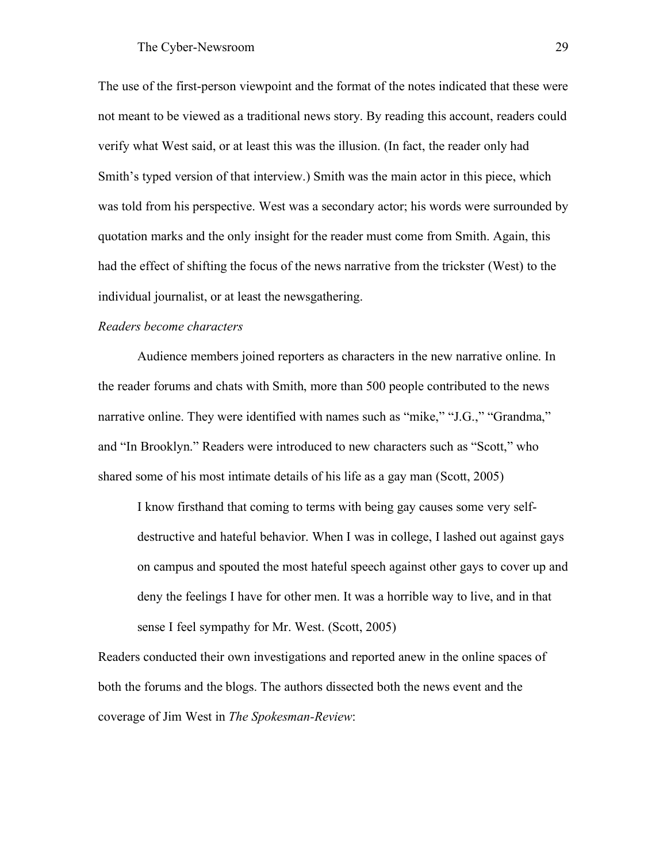The use of the first-person viewpoint and the format of the notes indicated that these were not meant to be viewed as a traditional news story. By reading this account, readers could verify what West said, or at least this was the illusion. (In fact, the reader only had Smith's typed version of that interview.) Smith was the main actor in this piece, which was told from his perspective. West was a secondary actor; his words were surrounded by quotation marks and the only insight for the reader must come from Smith. Again, this had the effect of shifting the focus of the news narrative from the trickster (West) to the individual journalist, or at least the newsgathering.

# *Readers become characters*

Audience members joined reporters as characters in the new narrative online. In the reader forums and chats with Smith, more than 500 people contributed to the news narrative online. They were identified with names such as "mike," "J.G.," "Grandma," and "In Brooklyn." Readers were introduced to new characters such as "Scott," who shared some of his most intimate details of his life as a gay man (Scott, 2005)

I know firsthand that coming to terms with being gay causes some very selfdestructive and hateful behavior. When I was in college, I lashed out against gays on campus and spouted the most hateful speech against other gays to cover up and deny the feelings I have for other men. It was a horrible way to live, and in that sense I feel sympathy for Mr. West. (Scott, 2005)

Readers conducted their own investigations and reported anew in the online spaces of both the forums and the blogs. The authors dissected both the news event and the coverage of Jim West in *The Spokesman-Review*: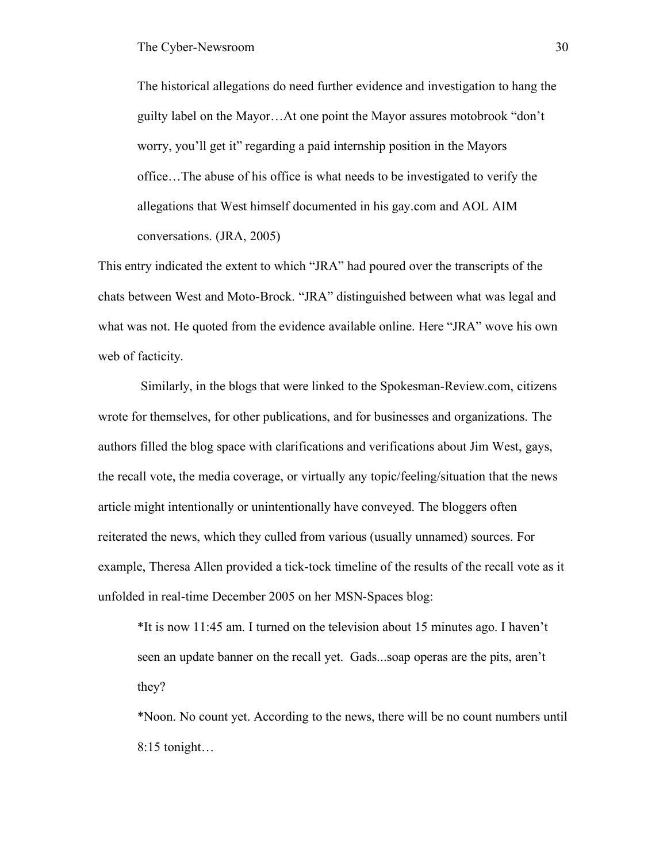The historical allegations do need further evidence and investigation to hang the guilty label on the Mayor…At one point the Mayor assures motobrook "don't worry, you'll get it" regarding a paid internship position in the Mayors office…The abuse of his office is what needs to be investigated to verify the allegations that West himself documented in his gay.com and AOL AIM conversations. (JRA, 2005)

This entry indicated the extent to which "JRA" had poured over the transcripts of the chats between West and Moto-Brock. "JRA" distinguished between what was legal and what was not. He quoted from the evidence available online. Here "JRA" wove his own web of facticity.

Similarly, in the blogs that were linked to the Spokesman-Review.com, citizens wrote for themselves, for other publications, and for businesses and organizations. The authors filled the blog space with clarifications and verifications about Jim West, gays, the recall vote, the media coverage, or virtually any topic/feeling/situation that the news article might intentionally or unintentionally have conveyed. The bloggers often reiterated the news, which they culled from various (usually unnamed) sources. For example, Theresa Allen provided a tick-tock timeline of the results of the recall vote as it unfolded in real-time December 2005 on her MSN-Spaces blog:

\*It is now 11:45 am. I turned on the television about 15 minutes ago. I haven't seen an update banner on the recall yet. Gads...soap operas are the pits, aren't they?

\*Noon. No count yet. According to the news, there will be no count numbers until 8:15 tonight…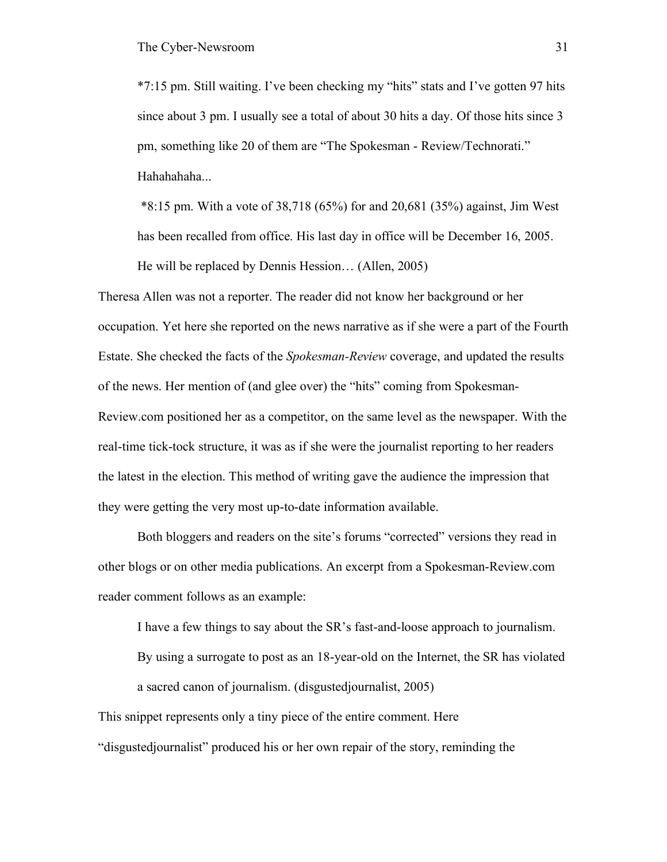\*7:15 pm. Still waiting. I've been checking my "hits" stats and I've gotten 97 hits since about 3 pm. I usually see a total of about 30 hits a day. Of those hits since 3 pm, something like 20 of them are "The Spokesman - Review/Technorati." Hahahaha...

\*8:15 pm. With a vote of 38,718 (65%) for and 20,681 (35%) against, Jim West has been recalled from office. His last day in office will be December 16, 2005. He will be replaced by Dennis Hession… (Allen, 2005)

Theresa Allen was not a reporter. The reader did not know her background or her occupation. Yet here she reported on the news narrative as if she were a part of the Fourth Estate. She checked the facts of the *Spokesman-Review* coverage, and updated the results of the news. Her mention of (and glee over) the "hits" coming from Spokesman-Review.com positioned her as a competitor, on the same level as the newspaper. With the real-time tick-tock structure, it was as if she were the journalist reporting to her readers the latest in the election. This method of writing gave the audience the impression that they were getting the very most up-to-date information available.

Both bloggers and readers on the site's forums "corrected" versions they read in other blogs or on other media publications. An excerpt from a Spokesman-Review.com reader comment follows as an example:

I have a few things to say about the SR's fast-and-loose approach to journalism.

By using a surrogate to post as an 18-year-old on the Internet, the SR has violated a sacred canon of journalism. (disgustedjournalist, 2005)

This snippet represents only a tiny piece of the entire comment. Here "disgustedjournalist" produced his or her own repair of the story, reminding the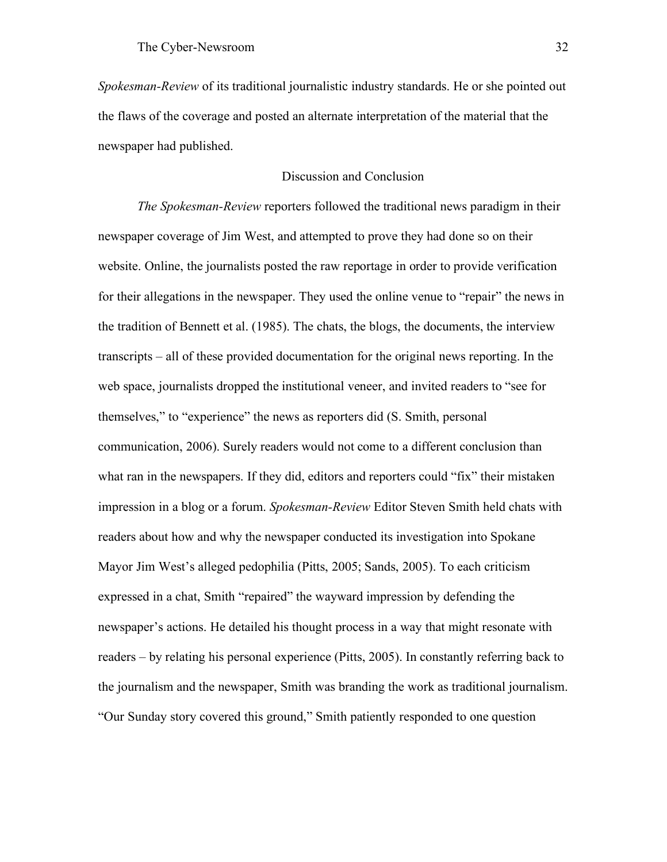*Spokesman-Review* of its traditional journalistic industry standards. He or she pointed out the flaws of the coverage and posted an alternate interpretation of the material that the newspaper had published.

# Discussion and Conclusion

*The Spokesman-Review* reporters followed the traditional news paradigm in their newspaper coverage of Jim West, and attempted to prove they had done so on their website. Online, the journalists posted the raw reportage in order to provide verification for their allegations in the newspaper. They used the online venue to "repair" the news in the tradition of Bennett et al. (1985). The chats, the blogs, the documents, the interview transcripts – all of these provided documentation for the original news reporting. In the web space, journalists dropped the institutional veneer, and invited readers to "see for themselves," to "experience" the news as reporters did (S. Smith, personal communication, 2006). Surely readers would not come to a different conclusion than what ran in the newspapers. If they did, editors and reporters could "fix" their mistaken impression in a blog or a forum. *Spokesman-Review* Editor Steven Smith held chats with readers about how and why the newspaper conducted its investigation into Spokane Mayor Jim West's alleged pedophilia (Pitts, 2005; Sands, 2005). To each criticism expressed in a chat, Smith "repaired" the wayward impression by defending the newspaper's actions. He detailed his thought process in a way that might resonate with readers – by relating his personal experience (Pitts, 2005). In constantly referring back to the journalism and the newspaper, Smith was branding the work as traditional journalism. "Our Sunday story covered this ground," Smith patiently responded to one question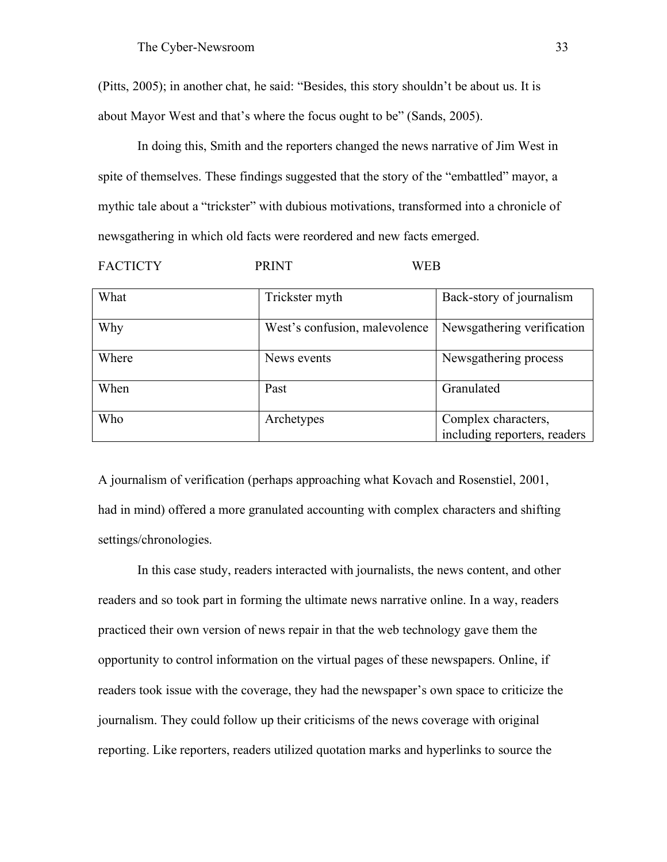(Pitts, 2005); in another chat, he said: "Besides, this story shouldn't be about us. It is about Mayor West and that's where the focus ought to be" (Sands, 2005).

In doing this, Smith and the reporters changed the news narrative of Jim West in spite of themselves. These findings suggested that the story of the "embattled" mayor, a mythic tale about a "trickster" with dubious motivations, transformed into a chronicle of newsgathering in which old facts were reordered and new facts emerged.

FACTICTY PRINT WEB

| What  | Trickster myth                | Back-story of journalism                            |
|-------|-------------------------------|-----------------------------------------------------|
| Why   | West's confusion, malevolence | Newsgathering verification                          |
| Where | News events                   | Newsgathering process                               |
| When  | Past                          | Granulated                                          |
| Who   | Archetypes                    | Complex characters,<br>including reporters, readers |

A journalism of verification (perhaps approaching what Kovach and Rosenstiel, 2001, had in mind) offered a more granulated accounting with complex characters and shifting settings/chronologies.

In this case study, readers interacted with journalists, the news content, and other readers and so took part in forming the ultimate news narrative online. In a way, readers practiced their own version of news repair in that the web technology gave them the opportunity to control information on the virtual pages of these newspapers. Online, if readers took issue with the coverage, they had the newspaper's own space to criticize the journalism. They could follow up their criticisms of the news coverage with original reporting. Like reporters, readers utilized quotation marks and hyperlinks to source the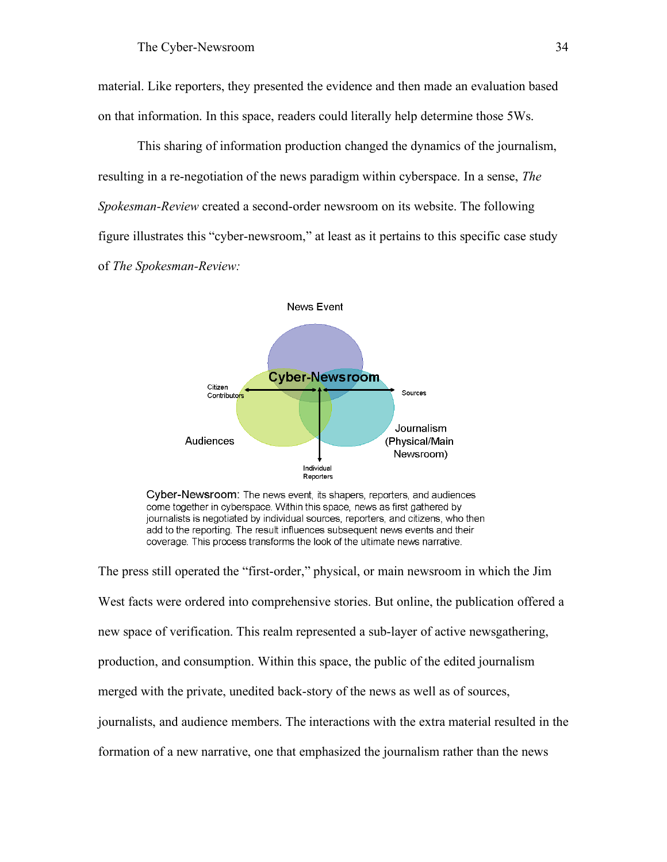material. Like reporters, they presented the evidence and then made an evaluation based on that information. In this space, readers could literally help determine those 5Ws.

This sharing of information production changed the dynamics of the journalism, resulting in a re-negotiation of the news paradigm within cyberspace. In a sense, *The Spokesman-Review* created a second-order newsroom on its website. The following figure illustrates this "cyber-newsroom," at least as it pertains to this specific case study of *The Spokesman-Review:*



Cyber-Newsroom: The news event, its shapers, reporters, and audiences come together in cyberspace. Within this space, news as first gathered by journalists is negotiated by individual sources, reporters, and citizens, who then add to the reporting. The result influences subsequent news events and their coverage. This process transforms the look of the ultimate news narrative.

The press still operated the "first-order," physical, or main newsroom in which the Jim West facts were ordered into comprehensive stories. But online, the publication offered a new space of verification. This realm represented a sub-layer of active newsgathering, production, and consumption. Within this space, the public of the edited journalism merged with the private, unedited back-story of the news as well as of sources, journalists, and audience members. The interactions with the extra material resulted in the formation of a new narrative, one that emphasized the journalism rather than the news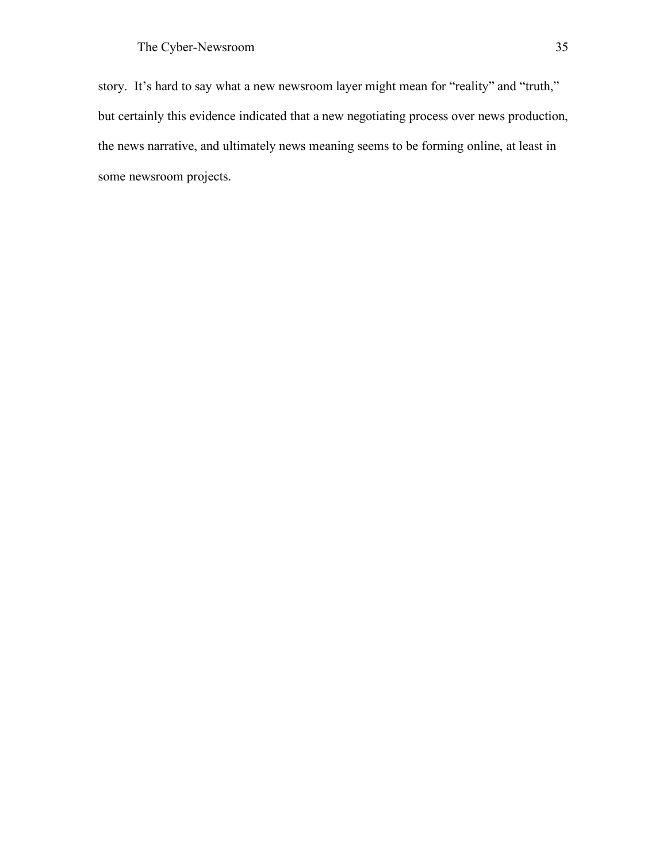story. It's hard to say what a new newsroom layer might mean for "reality" and "truth," but certainly this evidence indicated that a new negotiating process over news production, the news narrative, and ultimately news meaning seems to be forming online, at least in some newsroom projects.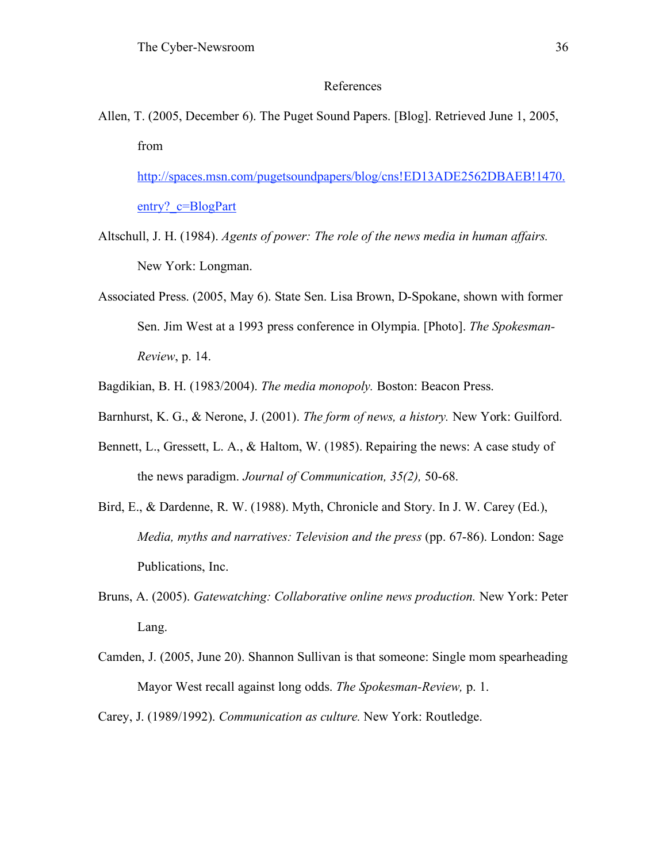### References

Allen, T. (2005, December 6). The Puget Sound Papers. [Blog]. Retrieved June 1, 2005, from

http://spaces.msn.com/pugetsoundpapers/blog/cns!ED13ADE2562DBAEB!1470. entry?\_c=BlogPart

- Altschull, J. H. (1984). *Agents of power: The role of the news media in human affairs.* New York: Longman.
- Associated Press. (2005, May 6). State Sen. Lisa Brown, D-Spokane, shown with former Sen. Jim West at a 1993 press conference in Olympia. [Photo]. *The Spokesman-Review*, p. 14.
- Bagdikian, B. H. (1983/2004). *The media monopoly.* Boston: Beacon Press.
- Barnhurst, K. G., & Nerone, J. (2001). *The form of news, a history.* New York: Guilford.
- Bennett, L., Gressett, L. A., & Haltom, W. (1985). Repairing the news: A case study of the news paradigm. *Journal of Communication, 35(2),* 50-68.
- Bird, E., & Dardenne, R. W. (1988). Myth, Chronicle and Story. In J. W. Carey (Ed.), *Media, myths and narratives: Television and the press* (pp. 67-86). London: Sage Publications, Inc.
- Bruns, A. (2005). *Gatewatching: Collaborative online news production.* New York: Peter Lang.
- Camden, J. (2005, June 20). Shannon Sullivan is that someone: Single mom spearheading Mayor West recall against long odds. *The Spokesman-Review,* p. 1.

Carey, J. (1989/1992). *Communication as culture.* New York: Routledge.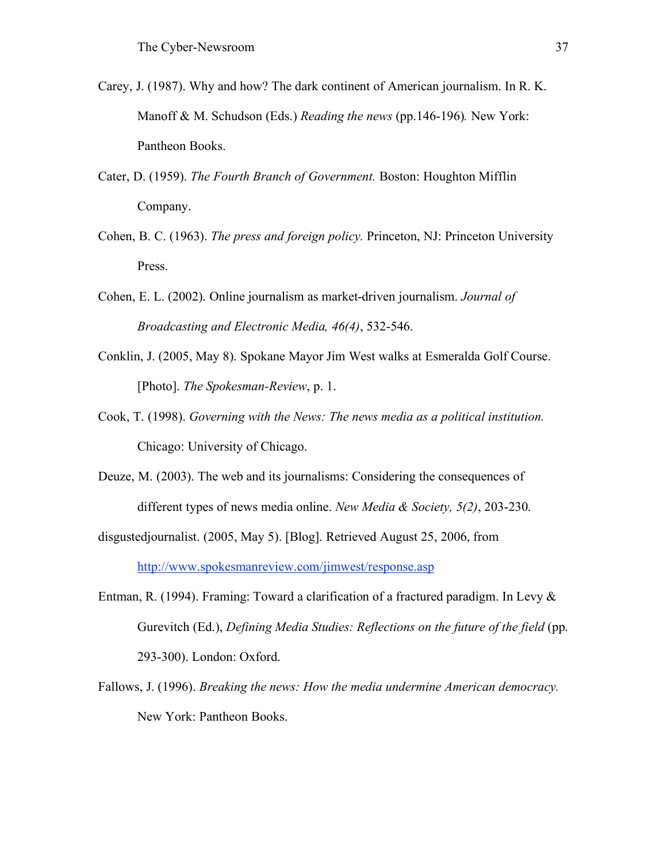- Carey, J. (1987). Why and how? The dark continent of American journalism. In R. K. Manoff & M. Schudson (Eds.) *Reading the news* (pp.146-196)*.* New York: Pantheon Books.
- Cater, D. (1959). *The Fourth Branch of Government.* Boston: Houghton Mifflin Company.
- Cohen, B. C. (1963). *The press and foreign policy.* Princeton, NJ: Princeton University Press.
- Cohen, E. L. (2002). Online journalism as market-driven journalism. *Journal of Broadcasting and Electronic Media, 46(4)*, 532-546.
- Conklin, J. (2005, May 8). Spokane Mayor Jim West walks at Esmeralda Golf Course. [Photo]. *The Spokesman-Review*, p. 1.
- Cook, T. (1998). *Governing with the News: The news media as a political institution.* Chicago: University of Chicago.
- Deuze, M. (2003). The web and its journalisms: Considering the consequences of different types of news media online. *New Media & Society, 5(2)*, 203-230.
- disgustedjournalist. (2005, May 5). [Blog]. Retrieved August 25, 2006, from http://www.spokesmanreview.com/jimwest/response.asp
- Entman, R. (1994). Framing: Toward a clarification of a fractured paradigm. In Levy & Gurevitch (Ed.), *Defining Media Studies: Reflections on the future of the field* (pp. 293-300). London: Oxford.
- Fallows, J. (1996). *Breaking the news: How the media undermine American democracy.* New York: Pantheon Books.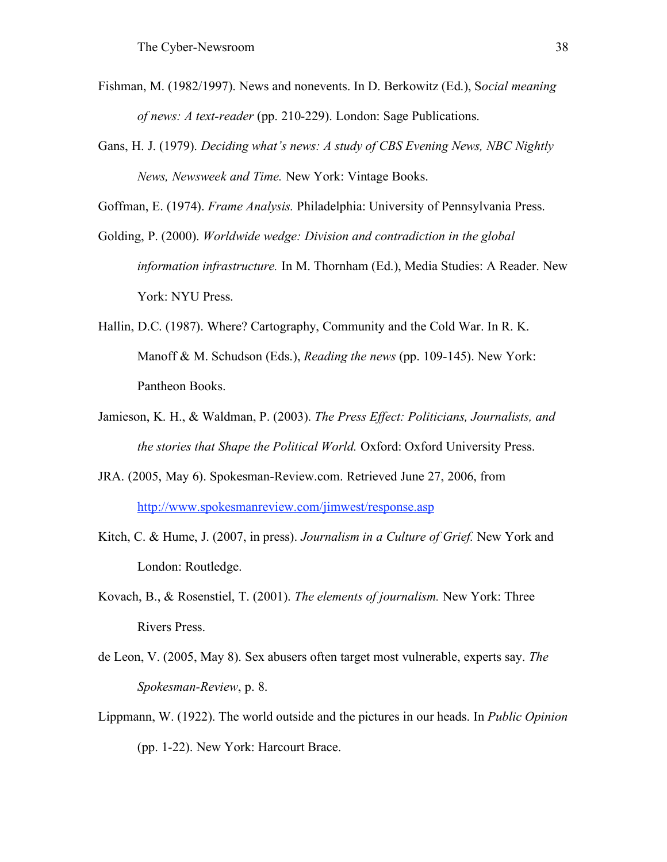- Fishman, M. (1982/1997). News and nonevents. In D. Berkowitz (Ed.), S*ocial meaning of news: A text-reader* (pp. 210-229). London: Sage Publications.
- Gans, H. J. (1979). *Deciding what's news: A study of CBS Evening News, NBC Nightly News, Newsweek and Time.* New York: Vintage Books.

Goffman, E. (1974). *Frame Analysis.* Philadelphia: University of Pennsylvania Press.

- Golding, P. (2000). *Worldwide wedge: Division and contradiction in the global information infrastructure.* In M. Thornham (Ed.), Media Studies: A Reader. New York: NYU Press.
- Hallin, D.C. (1987). Where? Cartography, Community and the Cold War. In R. K. Manoff & M. Schudson (Eds.), *Reading the news* (pp. 109-145). New York: Pantheon Books.
- Jamieson, K. H., & Waldman, P. (2003). *The Press Effect: Politicians, Journalists, and the stories that Shape the Political World.* Oxford: Oxford University Press.
- JRA. (2005, May 6). Spokesman-Review.com. Retrieved June 27, 2006, from http://www.spokesmanreview.com/jimwest/response.asp
- Kitch, C. & Hume, J. (2007, in press). *Journalism in a Culture of Grief.* New York and London: Routledge.
- Kovach, B., & Rosenstiel, T. (2001). *The elements of journalism.* New York: Three Rivers Press.
- de Leon, V. (2005, May 8). Sex abusers often target most vulnerable, experts say. *The Spokesman-Review*, p. 8.
- Lippmann, W. (1922). The world outside and the pictures in our heads. In *Public Opinion*  (pp. 1-22). New York: Harcourt Brace.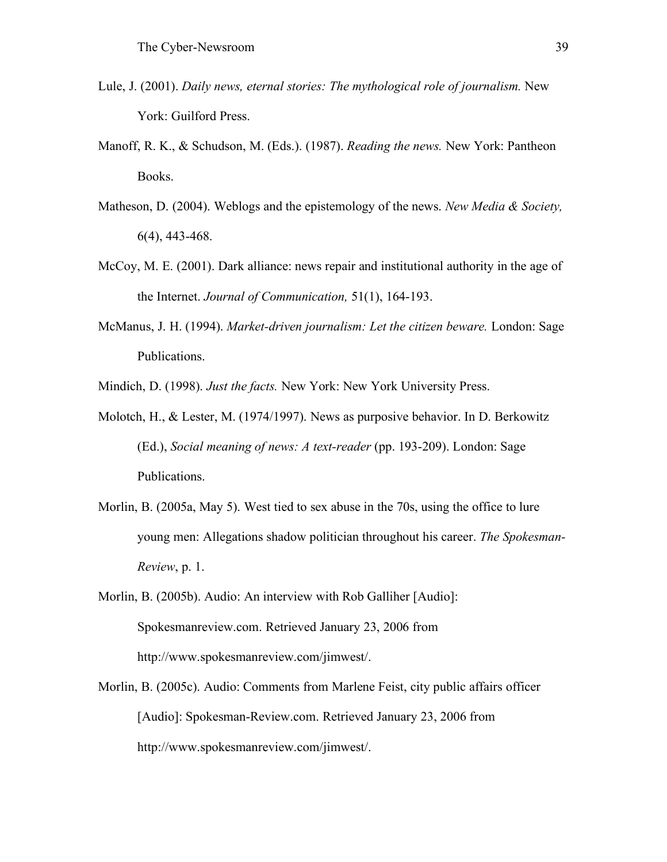- Lule, J. (2001). *Daily news, eternal stories: The mythological role of journalism.* New York: Guilford Press.
- Manoff, R. K., & Schudson, M. (Eds.). (1987). *Reading the news.* New York: Pantheon Books.
- Matheson, D. (2004). Weblogs and the epistemology of the news. *New Media & Society,* 6(4), 443-468.
- McCoy, M. E. (2001). Dark alliance: news repair and institutional authority in the age of the Internet. *Journal of Communication,* 51(1), 164-193.
- McManus, J. H. (1994). *Market-driven journalism: Let the citizen beware.* London: Sage Publications.

Mindich, D. (1998). *Just the facts.* New York: New York University Press.

- Molotch, H., & Lester, M. (1974/1997). News as purposive behavior. In D. Berkowitz (Ed.), *Social meaning of news: A text-reader* (pp. 193-209). London: Sage Publications.
- Morlin, B. (2005a, May 5). West tied to sex abuse in the 70s, using the office to lure young men: Allegations shadow politician throughout his career. *The Spokesman-Review*, p. 1.
- Morlin, B. (2005b). Audio: An interview with Rob Galliher [Audio]: Spokesmanreview.com. Retrieved January 23, 2006 from http://www.spokesmanreview.com/jimwest/.
- Morlin, B. (2005c). Audio: Comments from Marlene Feist, city public affairs officer [Audio]: Spokesman-Review.com. Retrieved January 23, 2006 from http://www.spokesmanreview.com/jimwest/.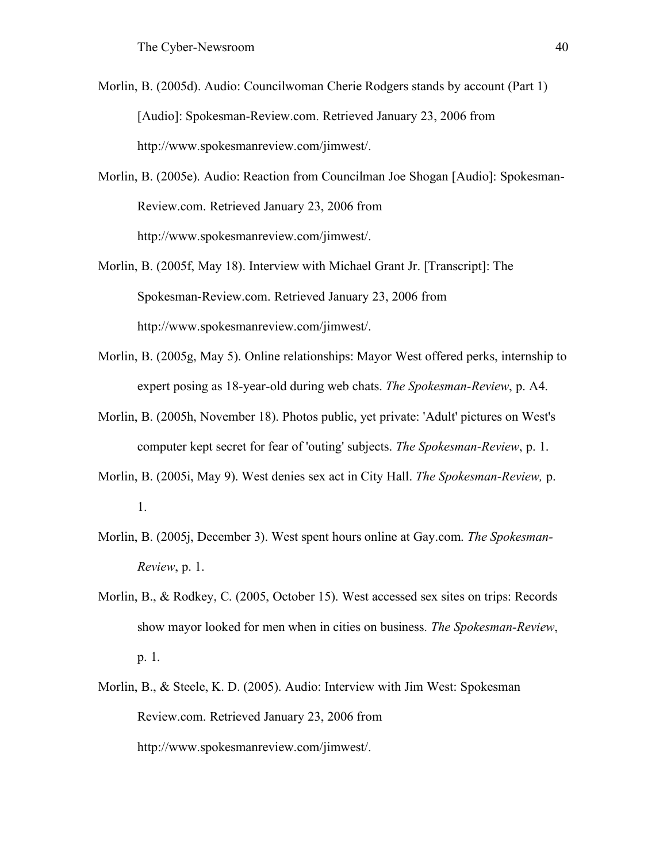- Morlin, B. (2005d). Audio: Councilwoman Cherie Rodgers stands by account (Part 1) [Audio]: Spokesman-Review.com. Retrieved January 23, 2006 from http://www.spokesmanreview.com/jimwest/.
- Morlin, B. (2005e). Audio: Reaction from Councilman Joe Shogan [Audio]: Spokesman-Review.com. Retrieved January 23, 2006 from http://www.spokesmanreview.com/jimwest/.
- Morlin, B. (2005f, May 18). Interview with Michael Grant Jr. [Transcript]: The Spokesman-Review.com. Retrieved January 23, 2006 from http://www.spokesmanreview.com/jimwest/.
- Morlin, B. (2005g, May 5). Online relationships: Mayor West offered perks, internship to expert posing as 18-year-old during web chats. *The Spokesman-Review*, p. A4.
- Morlin, B. (2005h, November 18). Photos public, yet private: 'Adult' pictures on West's computer kept secret for fear of 'outing' subjects. *The Spokesman-Review*, p. 1.
- Morlin, B. (2005i, May 9). West denies sex act in City Hall. *The Spokesman-Review,* p. 1.
- Morlin, B. (2005j, December 3). West spent hours online at Gay.com. *The Spokesman-Review*, p. 1.
- Morlin, B., & Rodkey, C. (2005, October 15). West accessed sex sites on trips: Records show mayor looked for men when in cities on business. *The Spokesman-Review*, p. 1.
- Morlin, B., & Steele, K. D. (2005). Audio: Interview with Jim West: Spokesman Review.com. Retrieved January 23, 2006 from http://www.spokesmanreview.com/jimwest/.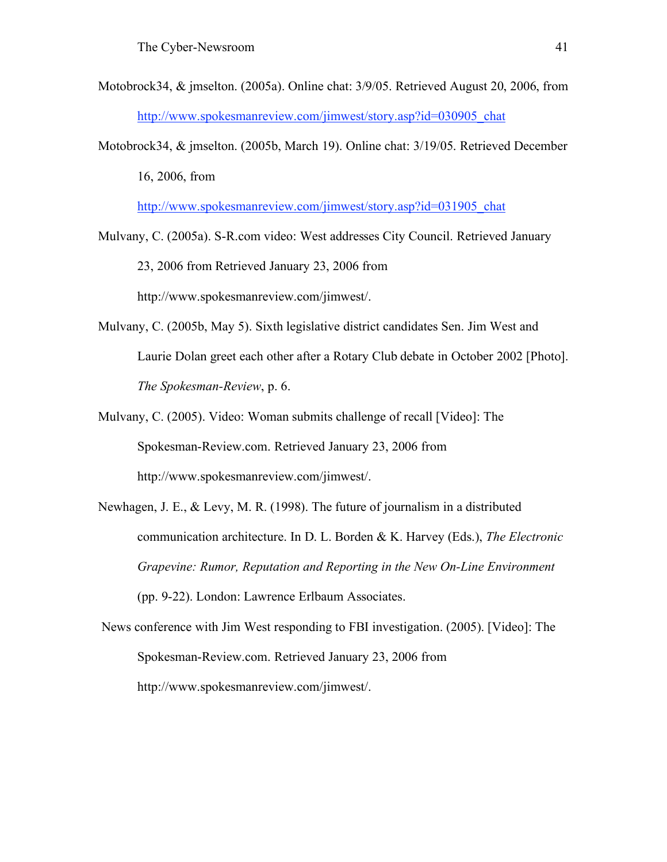- Motobrock34, & jmselton. (2005a). Online chat: 3/9/05. Retrieved August 20, 2006, from http://www.spokesmanreview.com/jimwest/story.asp?id=030905\_chat
- Motobrock34, & jmselton. (2005b, March 19). Online chat: 3/19/05. Retrieved December 16, 2006, from

http://www.spokesmanreview.com/jimwest/story.asp?id=031905\_chat

- Mulvany, C. (2005a). S-R.com video: West addresses City Council. Retrieved January 23, 2006 from Retrieved January 23, 2006 from http://www.spokesmanreview.com/jimwest/.
- Mulvany, C. (2005b, May 5). Sixth legislative district candidates Sen. Jim West and Laurie Dolan greet each other after a Rotary Club debate in October 2002 [Photo]. *The Spokesman-Review*, p. 6.
- Mulvany, C. (2005). Video: Woman submits challenge of recall [Video]: The Spokesman-Review.com. Retrieved January 23, 2006 from http://www.spokesmanreview.com/jimwest/.
- Newhagen, J. E., & Levy, M. R. (1998). The future of journalism in a distributed communication architecture. In D. L. Borden & K. Harvey (Eds.), *The Electronic Grapevine: Rumor, Reputation and Reporting in the New On-Line Environment* (pp. 9-22). London: Lawrence Erlbaum Associates.
- News conference with Jim West responding to FBI investigation. (2005). [Video]: The Spokesman-Review.com. Retrieved January 23, 2006 from http://www.spokesmanreview.com/jimwest/.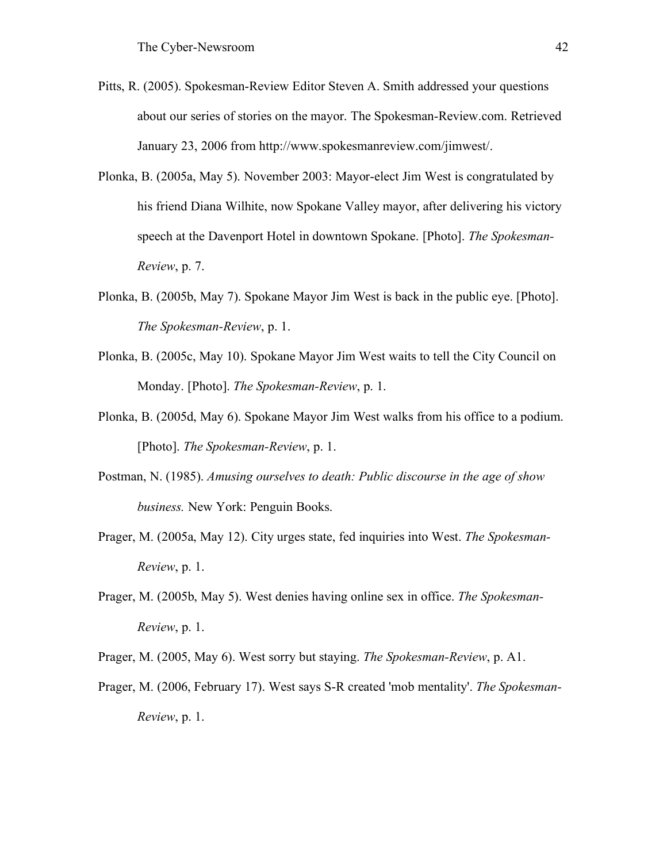- Pitts, R. (2005). Spokesman-Review Editor Steven A. Smith addressed your questions about our series of stories on the mayor. The Spokesman-Review.com. Retrieved January 23, 2006 from http://www.spokesmanreview.com/jimwest/.
- Plonka, B. (2005a, May 5). November 2003: Mayor-elect Jim West is congratulated by his friend Diana Wilhite, now Spokane Valley mayor, after delivering his victory speech at the Davenport Hotel in downtown Spokane. [Photo]. *The Spokesman-Review*, p. 7.
- Plonka, B. (2005b, May 7). Spokane Mayor Jim West is back in the public eye. [Photo]. *The Spokesman-Review*, p. 1.
- Plonka, B. (2005c, May 10). Spokane Mayor Jim West waits to tell the City Council on Monday. [Photo]. *The Spokesman-Review*, p. 1.
- Plonka, B. (2005d, May 6). Spokane Mayor Jim West walks from his office to a podium. [Photo]. *The Spokesman-Review*, p. 1.
- Postman, N. (1985). *Amusing ourselves to death: Public discourse in the age of show business.* New York: Penguin Books.
- Prager, M. (2005a, May 12). City urges state, fed inquiries into West. *The Spokesman-Review*, p. 1.
- Prager, M. (2005b, May 5). West denies having online sex in office. *The Spokesman-Review*, p. 1.
- Prager, M. (2005, May 6). West sorry but staying. *The Spokesman-Review*, p. A1.
- Prager, M. (2006, February 17). West says S-R created 'mob mentality'. *The Spokesman-Review*, p. 1.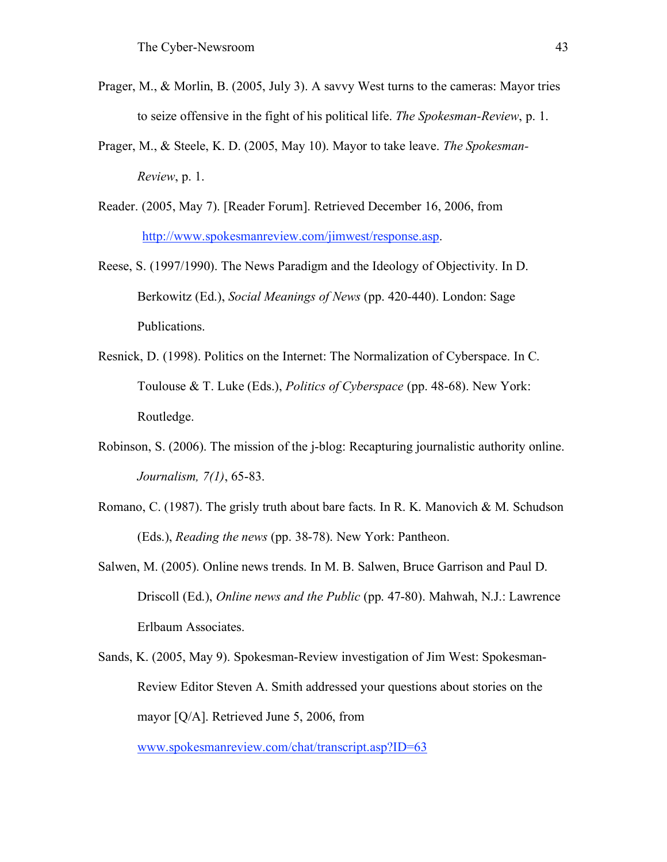- Prager, M., & Morlin, B. (2005, July 3). A savvy West turns to the cameras: Mayor tries to seize offensive in the fight of his political life. *The Spokesman-Review*, p. 1.
- Prager, M., & Steele, K. D. (2005, May 10). Mayor to take leave. *The Spokesman-Review*, p. 1.
- Reader. (2005, May 7). [Reader Forum]. Retrieved December 16, 2006, from http://www.spokesmanreview.com/jimwest/response.asp.
- Reese, S. (1997/1990). The News Paradigm and the Ideology of Objectivity. In D. Berkowitz (Ed.), *Social Meanings of News* (pp. 420-440). London: Sage Publications.
- Resnick, D. (1998). Politics on the Internet: The Normalization of Cyberspace. In C. Toulouse & T. Luke (Eds.), *Politics of Cyberspace* (pp. 48-68). New York: Routledge.
- Robinson, S. (2006). The mission of the j-blog: Recapturing journalistic authority online. *Journalism, 7(1)*, 65-83.
- Romano, C. (1987). The grisly truth about bare facts. In R. K. Manovich & M. Schudson (Eds.), *Reading the news* (pp. 38-78). New York: Pantheon.
- Salwen, M. (2005). Online news trends. In M. B. Salwen, Bruce Garrison and Paul D. Driscoll (Ed.), *Online news and the Public* (pp. 47-80). Mahwah, N.J.: Lawrence Erlbaum Associates.
- Sands, K. (2005, May 9). Spokesman-Review investigation of Jim West: Spokesman-Review Editor Steven A. Smith addressed your questions about stories on the mayor [Q/A]. Retrieved June 5, 2006, from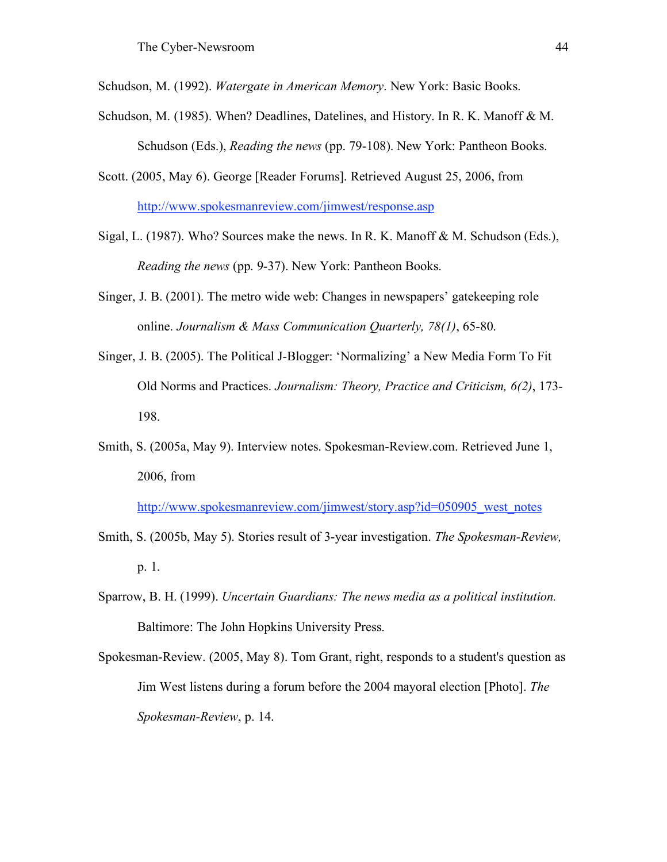Schudson, M. (1992). *Watergate in American Memory*. New York: Basic Books.

- Schudson, M. (1985). When? Deadlines, Datelines, and History. In R. K. Manoff & M. Schudson (Eds.), *Reading the news* (pp. 79-108). New York: Pantheon Books.
- Scott. (2005, May 6). George [Reader Forums]. Retrieved August 25, 2006, from http://www.spokesmanreview.com/jimwest/response.asp

Sigal, L. (1987). Who? Sources make the news. In R. K. Manoff & M. Schudson (Eds.), *Reading the news* (pp. 9-37). New York: Pantheon Books.

- Singer, J. B. (2001). The metro wide web: Changes in newspapers' gatekeeping role online. *Journalism & Mass Communication Quarterly, 78(1)*, 65-80.
- Singer, J. B. (2005). The Political J-Blogger: 'Normalizing' a New Media Form To Fit Old Norms and Practices. *Journalism: Theory, Practice and Criticism, 6(2)*, 173- 198.
- Smith, S. (2005a, May 9). Interview notes. Spokesman-Review.com. Retrieved June 1, 2006, from

http://www.spokesmanreview.com/jimwest/story.asp?id=050905\_west\_notes

- Smith, S. (2005b, May 5). Stories result of 3-year investigation. *The Spokesman-Review,* p. 1.
- Sparrow, B. H. (1999). *Uncertain Guardians: The news media as a political institution.* Baltimore: The John Hopkins University Press.
- Spokesman-Review. (2005, May 8). Tom Grant, right, responds to a student's question as Jim West listens during a forum before the 2004 mayoral election [Photo]. *The Spokesman-Review*, p. 14.